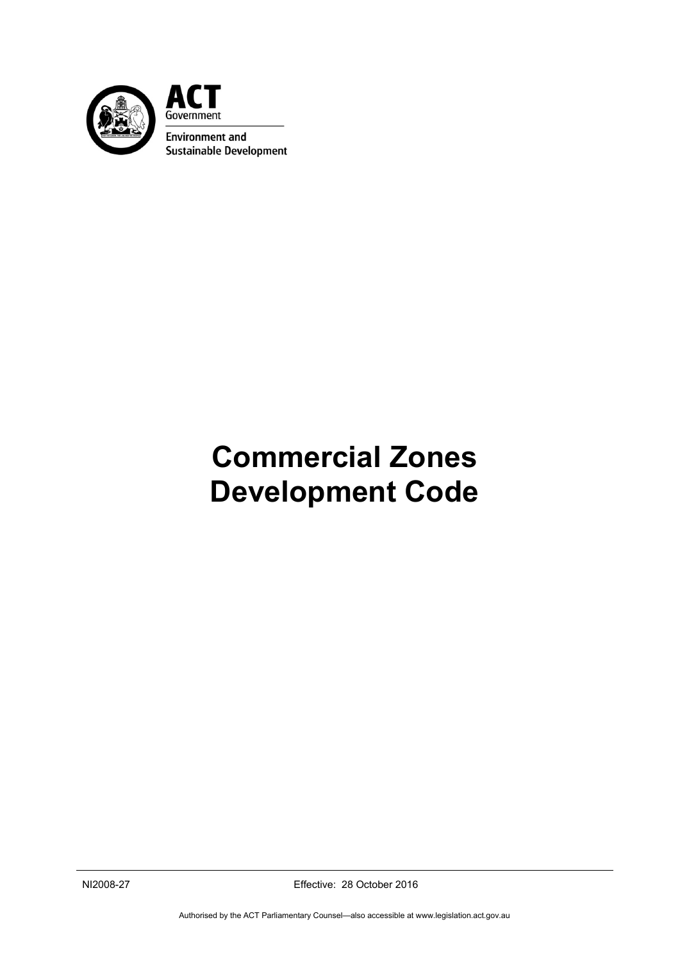

ACT Government **Environment and Sustainable Development** 

# **Commercial Zones Development Code**

NI2008-27 Effective: 28 October 2016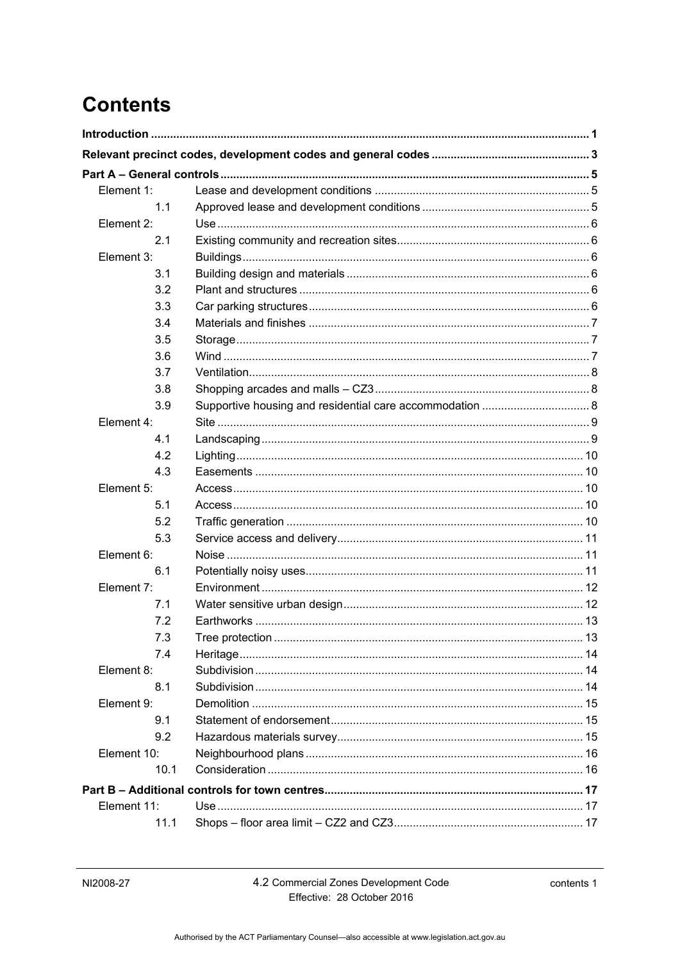# **Contents**

| Element 1:  |                 |    |
|-------------|-----------------|----|
| 1.1         |                 |    |
| Element 2:  |                 |    |
| 2.1         |                 |    |
| Element 3:  |                 |    |
| 3.1         |                 |    |
| 3.2         |                 |    |
| 3.3         |                 |    |
| 3.4         |                 |    |
| 3.5         |                 |    |
| 3.6         |                 |    |
| 3.7         |                 |    |
| 3.8         |                 |    |
| 3.9         |                 |    |
| Element 4:  |                 |    |
| 4.1         |                 |    |
| 4.2         |                 |    |
| 4.3         |                 |    |
| Element 5:  |                 |    |
| 5.1         |                 |    |
| 5.2         |                 |    |
| 5.3         |                 |    |
| Element 6:  |                 |    |
| 6.1         |                 |    |
| Element 7:  |                 |    |
| 7.1         |                 |    |
| 7.2         |                 |    |
| 7.3         | Tree protection | 13 |
| 7.4         |                 |    |
| Element 8:  |                 |    |
| 8.1         |                 |    |
| Element 9:  |                 |    |
| 9.1         |                 |    |
| 9.2         |                 |    |
| Element 10: |                 |    |
| 10.1        |                 |    |
|             |                 |    |
| Element 11: |                 |    |
| 11.1        |                 |    |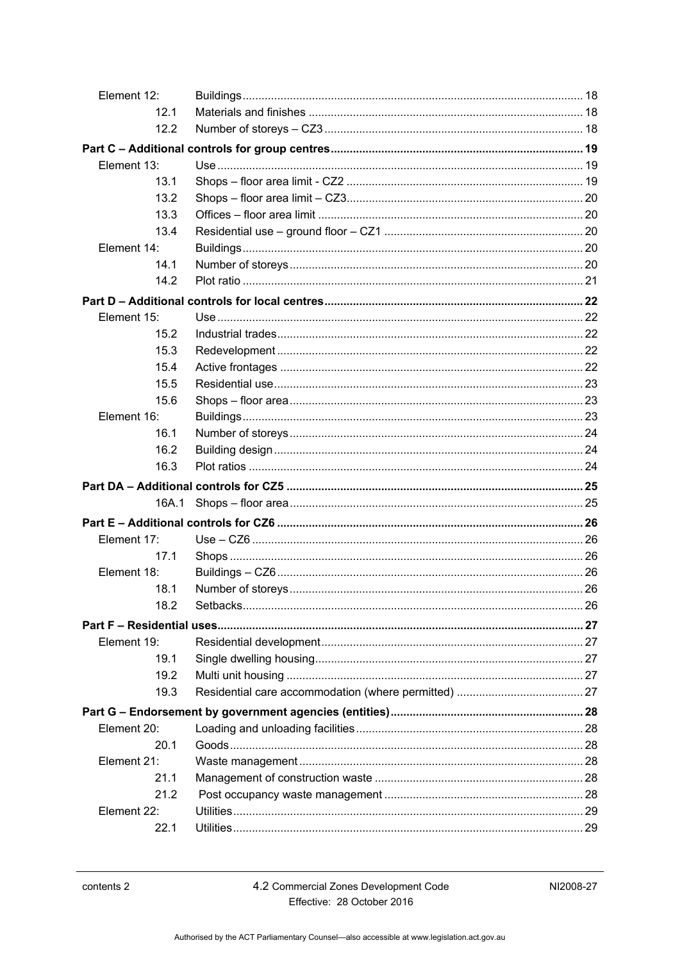| Element 12: |  |
|-------------|--|
| 12.1        |  |
| 12.2        |  |
|             |  |
| Element 13: |  |
| 13.1        |  |
| 13.2        |  |
| 13.3        |  |
| 13.4        |  |
| Element 14: |  |
| 14.1        |  |
| 14.2        |  |
|             |  |
| Element 15: |  |
| 15.2        |  |
| 15.3        |  |
| 15.4        |  |
| 15.5        |  |
| 15.6        |  |
| Element 16: |  |
| 16.1        |  |
| 16.2        |  |
| 16.3        |  |
|             |  |
| 16A.1       |  |
|             |  |
| Element 17: |  |
| 17.1        |  |
| Element 18: |  |
| 18.1        |  |
| 18.2        |  |
|             |  |
| Element 19: |  |
| 19.1        |  |
| 19.2        |  |
| 19.3        |  |
|             |  |
| Element 20: |  |
| 20.1        |  |
| Element 21: |  |
| 21.1        |  |
| 21.2        |  |
| Element 22: |  |
| 22.1        |  |
|             |  |

4.2 Commercial Zones Development Code Effective: 28 October 2016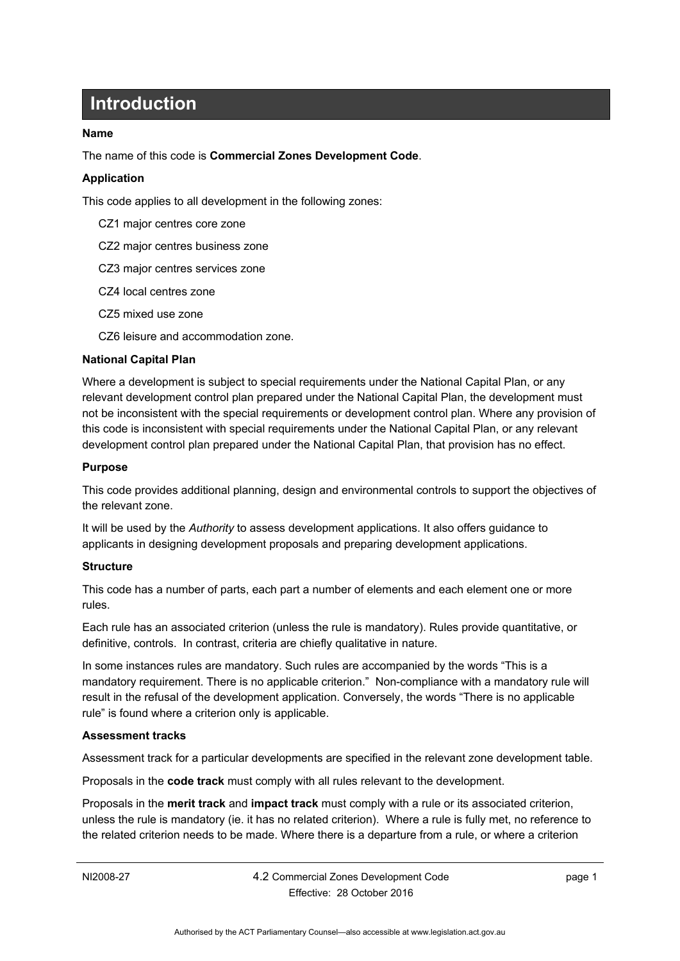# **Introduction**

#### <span id="page-6-0"></span>**Name**

The name of this code is **Commercial Zones Development Code**.

#### **Application**

This code applies to all development in the following zones:

- CZ1 major centres core zone
- CZ2 major centres business zone
- CZ3 major centres services zone
- CZ4 local centres zone
- CZ5 mixed use zone
- CZ6 leisure and accommodation zone.

#### **National Capital Plan**

Where a development is subject to special requirements under the National Capital Plan, or any relevant development control plan prepared under the National Capital Plan, the development must not be inconsistent with the special requirements or development control plan. Where any provision of this code is inconsistent with special requirements under the National Capital Plan, or any relevant development control plan prepared under the National Capital Plan, that provision has no effect.

#### **Purpose**

This code provides additional planning, design and environmental controls to support the objectives of the relevant zone.

It will be used by the *Authority* to assess development applications. It also offers guidance to applicants in designing development proposals and preparing development applications.

#### **Structure**

This code has a number of parts, each part a number of elements and each element one or more rules.

Each rule has an associated criterion (unless the rule is mandatory). Rules provide quantitative, or definitive, controls. In contrast, criteria are chiefly qualitative in nature.

In some instances rules are mandatory. Such rules are accompanied by the words "This is a mandatory requirement. There is no applicable criterion." Non-compliance with a mandatory rule will result in the refusal of the development application. Conversely, the words "There is no applicable rule" is found where a criterion only is applicable.

#### **Assessment tracks**

Assessment track for a particular developments are specified in the relevant zone development table.

Proposals in the **code track** must comply with all rules relevant to the development.

Proposals in the **merit track** and **impact track** must comply with a rule or its associated criterion, unless the rule is mandatory (ie. it has no related criterion). Where a rule is fully met, no reference to the related criterion needs to be made. Where there is a departure from a rule, or where a criterion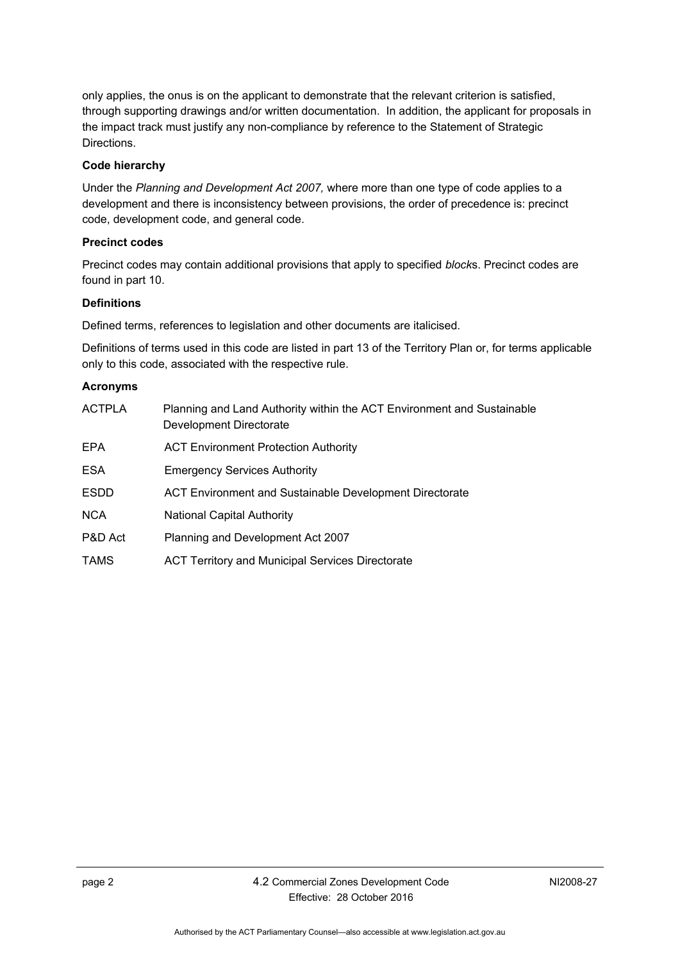only applies, the onus is on the applicant to demonstrate that the relevant criterion is satisfied, through supporting drawings and/or written documentation. In addition, the applicant for proposals in the impact track must justify any non-compliance by reference to the Statement of Strategic Directions.

#### **Code hierarchy**

Under the *Planning and Development Act 2007,* where more than one type of code applies to a development and there is inconsistency between provisions, the order of precedence is: precinct code, development code, and general code.

#### **Precinct codes**

Precinct codes may contain additional provisions that apply to specified *block*s. Precinct codes are found in part 10.

#### **Definitions**

Defined terms, references to legislation and other documents are italicised.

Definitions of terms used in this code are listed in part 13 of the Territory Plan or, for terms applicable only to this code, associated with the respective rule.

#### **Acronyms**

| <b>ACTPLA</b> | Planning and Land Authority within the ACT Environment and Sustainable<br>Development Directorate |
|---------------|---------------------------------------------------------------------------------------------------|
| EPA           | <b>ACT Environment Protection Authority</b>                                                       |
| <b>ESA</b>    | <b>Emergency Services Authority</b>                                                               |
| <b>ESDD</b>   | ACT Environment and Sustainable Development Directorate                                           |
| <b>NCA</b>    | <b>National Capital Authority</b>                                                                 |
| P&D Act       | Planning and Development Act 2007                                                                 |
| <b>TAMS</b>   | <b>ACT Territory and Municipal Services Directorate</b>                                           |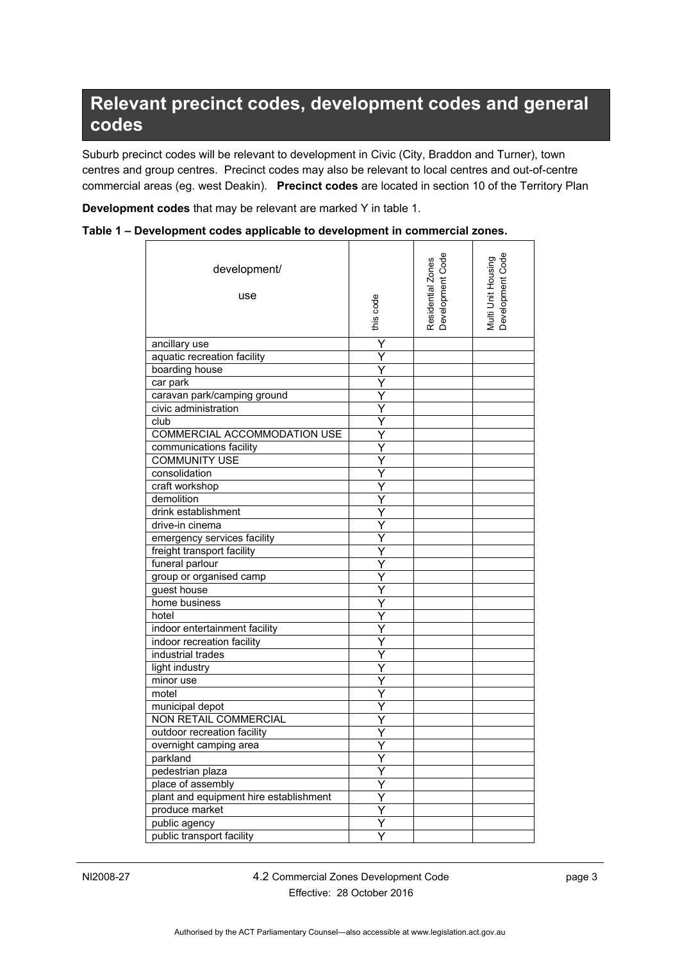# <span id="page-8-0"></span>**Relevant precinct codes, development codes and general codes**

Suburb precinct codes will be relevant to development in Civic (City, Braddon and Turner), town centres and group centres. Precinct codes may also be relevant to local centres and out-of-centre commercial areas (eg. west Deakin). **Precinct codes** are located in section 10 of the Territory Plan

**Development codes** that may be relevant are marked Y in table 1.

| Table 1 – Development codes applicable to development in commercial zones. |  |  |  |
|----------------------------------------------------------------------------|--|--|--|
|----------------------------------------------------------------------------|--|--|--|

| development/<br>use                    | this code | Residential Zones<br>Development Code | Multi Unit Housing<br>Development Code |
|----------------------------------------|-----------|---------------------------------------|----------------------------------------|
| ancillary use                          | Y         |                                       |                                        |
| aquatic recreation facility            | Ÿ         |                                       |                                        |
| boarding house                         | Y         |                                       |                                        |
| car park                               | Y         |                                       |                                        |
| caravan park/camping ground            |           |                                       |                                        |
| civic administration                   | Ý         |                                       |                                        |
| club                                   | Y         |                                       |                                        |
| COMMERCIAL ACCOMMODATION USE           | Y         |                                       |                                        |
| communications facility                | Y         |                                       |                                        |
| <b>COMMUNITY USE</b>                   |           |                                       |                                        |
| consolidation                          |           |                                       |                                        |
| craft workshop                         |           |                                       |                                        |
| demolition                             | Y         |                                       |                                        |
| drink establishment                    | Y         |                                       |                                        |
| drive-in cinema                        | Ÿ         |                                       |                                        |
| emergency services facility            | Y         |                                       |                                        |
| freight transport facility             | Y         |                                       |                                        |
| funeral parlour                        |           |                                       |                                        |
| group or organised camp                |           |                                       |                                        |
| guest house                            |           |                                       |                                        |
| home business                          | Y         |                                       |                                        |
| hotel                                  | Ÿ         |                                       |                                        |
| indoor entertainment facility          | Ÿ         |                                       |                                        |
| indoor recreation facility             | Ÿ         |                                       |                                        |
| industrial trades                      | Y         |                                       |                                        |
| light industry                         |           |                                       |                                        |
| minor use                              | Y         |                                       |                                        |
| motel                                  |           |                                       |                                        |
| municipal depot                        | Y         |                                       |                                        |
| <b>NON RETAIL COMMERCIAL</b>           | Y         |                                       |                                        |
| outdoor recreation facility            | Y         |                                       |                                        |
| overnight camping area                 |           |                                       |                                        |
| parkland                               | Y         |                                       |                                        |
| pedestrian plaza                       | Ý         |                                       |                                        |
| place of assembly                      | Y         |                                       |                                        |
| plant and equipment hire establishment | Y         |                                       |                                        |
| produce market                         | Y         |                                       |                                        |
| public agency                          | Ÿ         |                                       |                                        |
| public transport facility              | Ý         |                                       |                                        |
|                                        |           |                                       |                                        |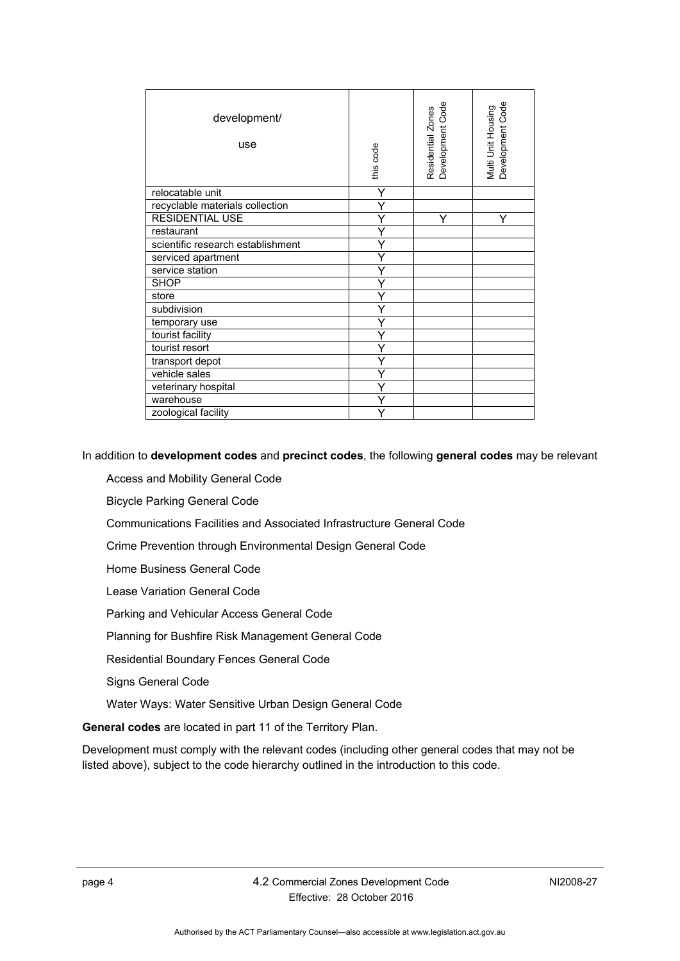| development/<br>use               | this code | Residential Zones<br>Development Code | Development Code<br>Multi Unit Housing |
|-----------------------------------|-----------|---------------------------------------|----------------------------------------|
| relocatable unit                  | Y         |                                       |                                        |
| recyclable materials collection   |           |                                       |                                        |
| <b>RESIDENTIAL USE</b>            |           |                                       |                                        |
| restaurant                        |           |                                       |                                        |
| scientific research establishment |           |                                       |                                        |
| serviced apartment                |           |                                       |                                        |
| service station                   |           |                                       |                                        |
| <b>SHOP</b>                       |           |                                       |                                        |
| store                             |           |                                       |                                        |
| subdivision                       |           |                                       |                                        |
| temporary use                     |           |                                       |                                        |
| tourist facility                  |           |                                       |                                        |
| tourist resort                    |           |                                       |                                        |
| transport depot                   |           |                                       |                                        |
| vehicle sales                     |           |                                       |                                        |
| veterinary hospital               |           |                                       |                                        |
| warehouse                         |           |                                       |                                        |
| zoological facility               |           |                                       |                                        |

In addition to **development codes** and **precinct codes**, the following **general codes** may be relevant

Access and Mobility General Code

Bicycle Parking General Code

Communications Facilities and Associated Infrastructure General Code

Crime Prevention through Environmental Design General Code

Home Business General Code

Lease Variation General Code

Parking and Vehicular Access General Code

Planning for Bushfire Risk Management General Code

Residential Boundary Fences General Code

Signs General Code

Water Ways: Water Sensitive Urban Design General Code

**General codes** are located in part 11 of the Territory Plan.

Development must comply with the relevant codes (including other general codes that may not be listed above), subject to the code hierarchy outlined in the introduction to this code.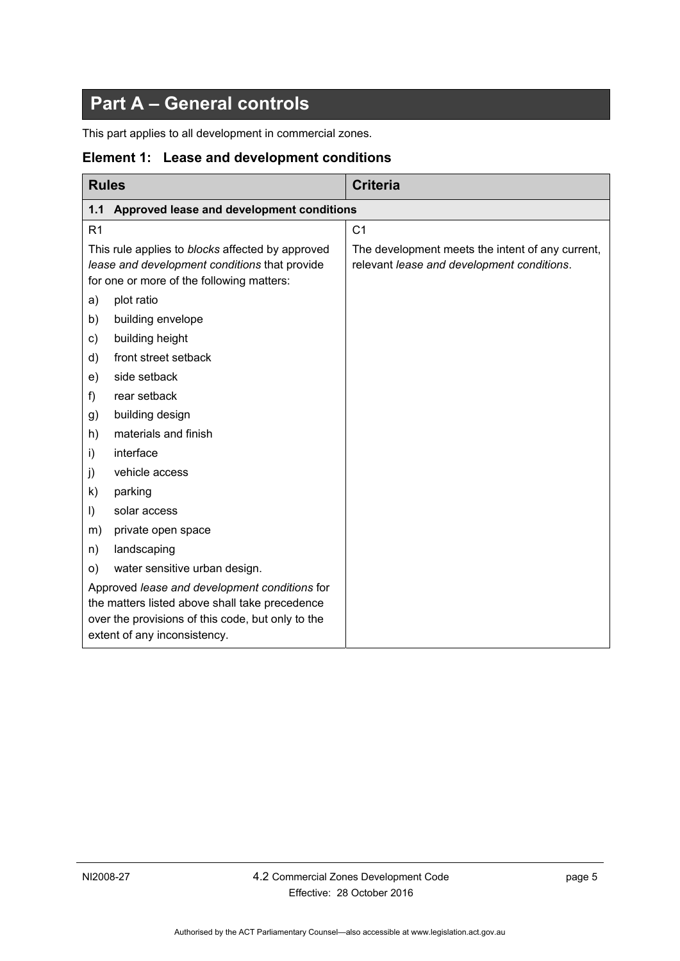# **Part A – General controls**

<span id="page-10-0"></span>This part applies to all development in commercial zones.

#### <span id="page-10-1"></span>**Element 1: Lease and development conditions**

<span id="page-10-2"></span>

| <b>Rules</b>                                                                                                                                                                         |                                           | <b>Criteria</b>                                                                                |  |  |
|--------------------------------------------------------------------------------------------------------------------------------------------------------------------------------------|-------------------------------------------|------------------------------------------------------------------------------------------------|--|--|
| 1.1                                                                                                                                                                                  | Approved lease and development conditions |                                                                                                |  |  |
| R <sub>1</sub>                                                                                                                                                                       |                                           | C <sub>1</sub>                                                                                 |  |  |
| This rule applies to blocks affected by approved<br>lease and development conditions that provide<br>for one or more of the following matters:                                       |                                           | The development meets the intent of any current,<br>relevant lease and development conditions. |  |  |
| a)                                                                                                                                                                                   | plot ratio                                |                                                                                                |  |  |
| b)                                                                                                                                                                                   | building envelope                         |                                                                                                |  |  |
| c)                                                                                                                                                                                   | building height                           |                                                                                                |  |  |
| d)                                                                                                                                                                                   | front street setback                      |                                                                                                |  |  |
| e)                                                                                                                                                                                   | side setback                              |                                                                                                |  |  |
| f)                                                                                                                                                                                   | rear setback                              |                                                                                                |  |  |
| g)                                                                                                                                                                                   | building design                           |                                                                                                |  |  |
| h)                                                                                                                                                                                   | materials and finish                      |                                                                                                |  |  |
| i)                                                                                                                                                                                   | interface                                 |                                                                                                |  |  |
| j)                                                                                                                                                                                   | vehicle access                            |                                                                                                |  |  |
| k)                                                                                                                                                                                   | parking                                   |                                                                                                |  |  |
| $\vert$                                                                                                                                                                              | solar access                              |                                                                                                |  |  |
| m)                                                                                                                                                                                   | private open space                        |                                                                                                |  |  |
| n)                                                                                                                                                                                   | landscaping                               |                                                                                                |  |  |
| O)                                                                                                                                                                                   | water sensitive urban design.             |                                                                                                |  |  |
| Approved lease and development conditions for<br>the matters listed above shall take precedence<br>over the provisions of this code, but only to the<br>extent of any inconsistency. |                                           |                                                                                                |  |  |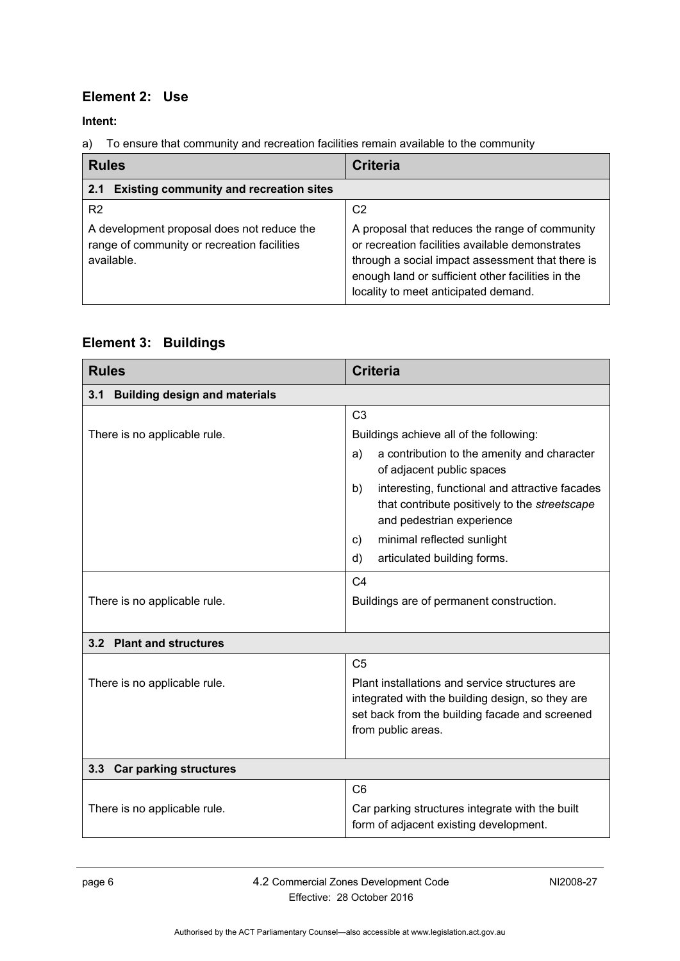### <span id="page-11-0"></span>**Element 2: Use**

**Intent:** 

a) To ensure that community and recreation facilities remain available to the community

<span id="page-11-1"></span>

| <b>Rules</b>                                                                                                              | <b>Criteria</b>                                                                                                                                                                                                                                                      |  |
|---------------------------------------------------------------------------------------------------------------------------|----------------------------------------------------------------------------------------------------------------------------------------------------------------------------------------------------------------------------------------------------------------------|--|
| <b>Existing community and recreation sites</b><br>2.1                                                                     |                                                                                                                                                                                                                                                                      |  |
| R <sub>2</sub><br>A development proposal does not reduce the<br>range of community or recreation facilities<br>available. | C <sub>2</sub><br>A proposal that reduces the range of community<br>or recreation facilities available demonstrates<br>through a social impact assessment that there is<br>enough land or sufficient other facilities in the<br>locality to meet anticipated demand. |  |

### <span id="page-11-2"></span>**Element 3: Buildings**

<span id="page-11-3"></span>

| <b>Rules</b>                                | <b>Criteria</b>                                                                                                                    |  |  |
|---------------------------------------------|------------------------------------------------------------------------------------------------------------------------------------|--|--|
| <b>Building design and materials</b><br>3.1 |                                                                                                                                    |  |  |
|                                             | C <sub>3</sub>                                                                                                                     |  |  |
| There is no applicable rule.                | Buildings achieve all of the following:                                                                                            |  |  |
|                                             | a contribution to the amenity and character<br>a)<br>of adjacent public spaces                                                     |  |  |
|                                             | b)<br>interesting, functional and attractive facades<br>that contribute positively to the streetscape<br>and pedestrian experience |  |  |
|                                             | minimal reflected sunlight<br>C)                                                                                                   |  |  |
|                                             | articulated building forms.<br>d)                                                                                                  |  |  |
|                                             | C <sub>4</sub>                                                                                                                     |  |  |
| There is no applicable rule.                | Buildings are of permanent construction.                                                                                           |  |  |
|                                             |                                                                                                                                    |  |  |
| 3.2 Plant and structures                    |                                                                                                                                    |  |  |
|                                             | C <sub>5</sub>                                                                                                                     |  |  |
| There is no applicable rule.                | Plant installations and service structures are                                                                                     |  |  |
|                                             | integrated with the building design, so they are<br>set back from the building facade and screened                                 |  |  |
|                                             | from public areas.                                                                                                                 |  |  |
|                                             |                                                                                                                                    |  |  |
| 3.3 Car parking structures                  |                                                                                                                                    |  |  |
|                                             | C <sub>6</sub>                                                                                                                     |  |  |
| There is no applicable rule.                | Car parking structures integrate with the built<br>form of adjacent existing development.                                          |  |  |

<span id="page-11-5"></span><span id="page-11-4"></span>page 6 4.2 Commercial Zones Development Code Effective: 28 October 2016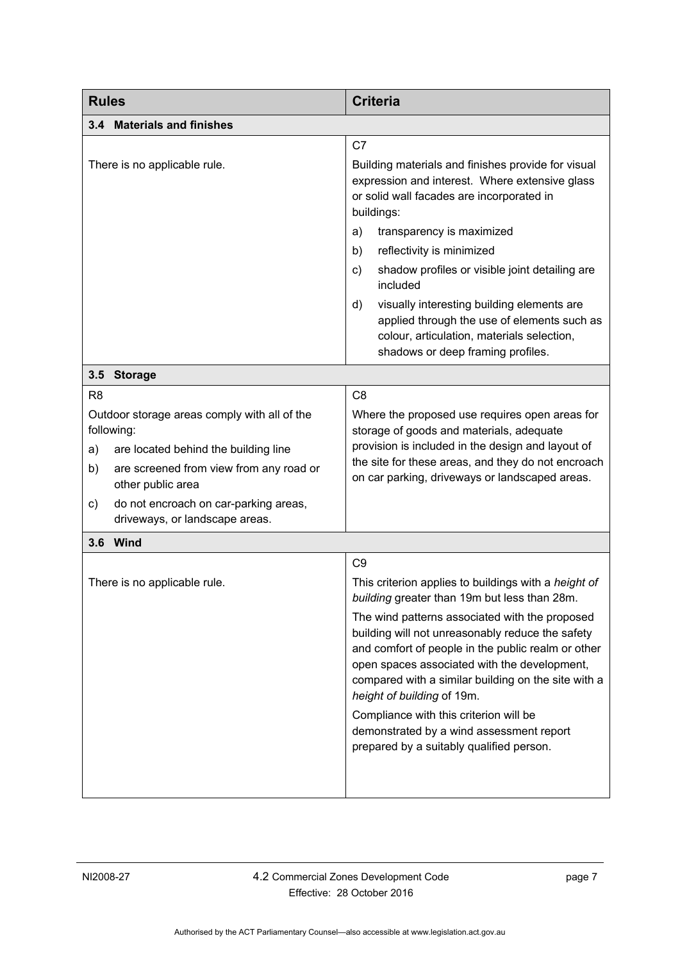<span id="page-12-2"></span><span id="page-12-1"></span><span id="page-12-0"></span>

| <b>Rules</b>                                                                                                                                                                                                                                                                      | <b>Criteria</b>                                                                                                                                                                                                                                                                                                                                                                                                                                                                                                                                           |  |  |
|-----------------------------------------------------------------------------------------------------------------------------------------------------------------------------------------------------------------------------------------------------------------------------------|-----------------------------------------------------------------------------------------------------------------------------------------------------------------------------------------------------------------------------------------------------------------------------------------------------------------------------------------------------------------------------------------------------------------------------------------------------------------------------------------------------------------------------------------------------------|--|--|
| 3.4 Materials and finishes                                                                                                                                                                                                                                                        |                                                                                                                                                                                                                                                                                                                                                                                                                                                                                                                                                           |  |  |
| There is no applicable rule.                                                                                                                                                                                                                                                      | C7<br>Building materials and finishes provide for visual<br>expression and interest. Where extensive glass<br>or solid wall facades are incorporated in<br>buildings:<br>transparency is maximized<br>a)<br>reflectivity is minimized<br>b)<br>shadow profiles or visible joint detailing are<br>C)<br>included                                                                                                                                                                                                                                           |  |  |
|                                                                                                                                                                                                                                                                                   | visually interesting building elements are<br>d)<br>applied through the use of elements such as<br>colour, articulation, materials selection,<br>shadows or deep framing profiles.                                                                                                                                                                                                                                                                                                                                                                        |  |  |
| 3.5<br><b>Storage</b>                                                                                                                                                                                                                                                             |                                                                                                                                                                                                                                                                                                                                                                                                                                                                                                                                                           |  |  |
| R <sub>8</sub><br>Outdoor storage areas comply with all of the<br>following:<br>are located behind the building line<br>a)<br>b)<br>are screened from view from any road or<br>other public area<br>do not encroach on car-parking areas,<br>C)<br>driveways, or landscape areas. | C <sub>8</sub><br>Where the proposed use requires open areas for<br>storage of goods and materials, adequate<br>provision is included in the design and layout of<br>the site for these areas, and they do not encroach<br>on car parking, driveways or landscaped areas.                                                                                                                                                                                                                                                                                 |  |  |
| 3.6 Wind                                                                                                                                                                                                                                                                          |                                                                                                                                                                                                                                                                                                                                                                                                                                                                                                                                                           |  |  |
| There is no applicable rule.                                                                                                                                                                                                                                                      | C <sub>9</sub><br>This criterion applies to buildings with a height of<br>building greater than 19m but less than 28m.<br>The wind patterns associated with the proposed<br>building will not unreasonably reduce the safety<br>and comfort of people in the public realm or other<br>open spaces associated with the development,<br>compared with a similar building on the site with a<br>height of building of 19m.<br>Compliance with this criterion will be<br>demonstrated by a wind assessment report<br>prepared by a suitably qualified person. |  |  |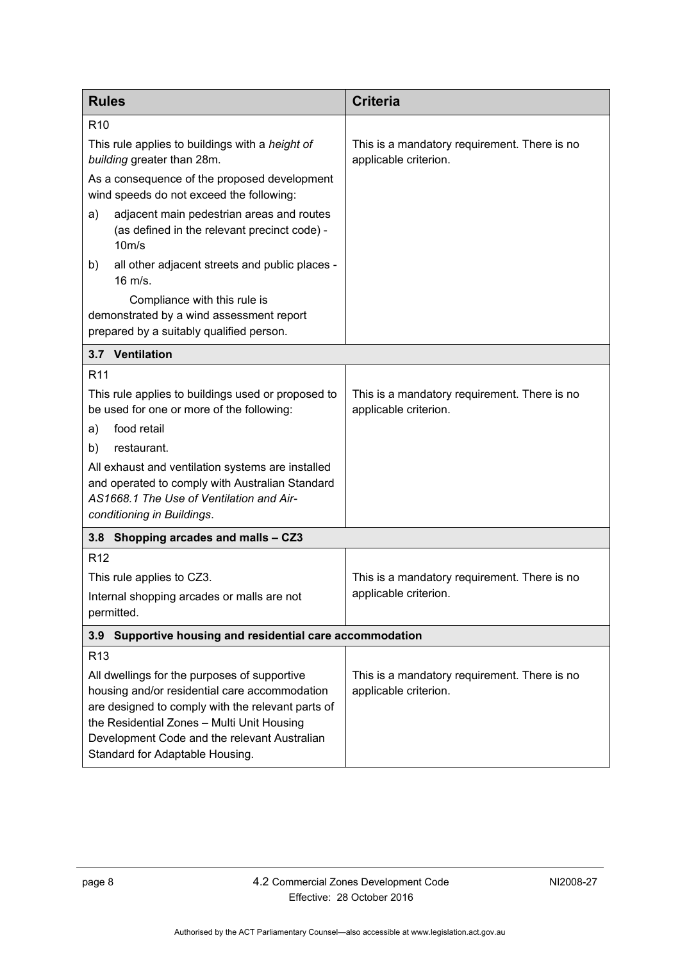<span id="page-13-2"></span><span id="page-13-1"></span><span id="page-13-0"></span>

| <b>Rules</b>                                                                                                                                                                                                                                                                        | <b>Criteria</b>                                                       |  |
|-------------------------------------------------------------------------------------------------------------------------------------------------------------------------------------------------------------------------------------------------------------------------------------|-----------------------------------------------------------------------|--|
| R <sub>10</sub>                                                                                                                                                                                                                                                                     |                                                                       |  |
| This rule applies to buildings with a height of<br>building greater than 28m.                                                                                                                                                                                                       | This is a mandatory requirement. There is no<br>applicable criterion. |  |
| As a consequence of the proposed development<br>wind speeds do not exceed the following:                                                                                                                                                                                            |                                                                       |  |
| adjacent main pedestrian areas and routes<br>a)<br>(as defined in the relevant precinct code) -<br>$10m$ /s                                                                                                                                                                         |                                                                       |  |
| all other adjacent streets and public places -<br>b)<br>$16 \text{ m/s}.$                                                                                                                                                                                                           |                                                                       |  |
| Compliance with this rule is<br>demonstrated by a wind assessment report<br>prepared by a suitably qualified person.                                                                                                                                                                |                                                                       |  |
| 3.7 Ventilation                                                                                                                                                                                                                                                                     |                                                                       |  |
| R <sub>11</sub>                                                                                                                                                                                                                                                                     |                                                                       |  |
| This rule applies to buildings used or proposed to<br>be used for one or more of the following:                                                                                                                                                                                     | This is a mandatory requirement. There is no<br>applicable criterion. |  |
| food retail<br>a)                                                                                                                                                                                                                                                                   |                                                                       |  |
| restaurant.<br>b)                                                                                                                                                                                                                                                                   |                                                                       |  |
| All exhaust and ventilation systems are installed<br>and operated to comply with Australian Standard<br>AS1668.1 The Use of Ventilation and Air-<br>conditioning in Buildings.                                                                                                      |                                                                       |  |
| 3.8 Shopping arcades and malls - CZ3                                                                                                                                                                                                                                                |                                                                       |  |
| R <sub>12</sub>                                                                                                                                                                                                                                                                     |                                                                       |  |
| This rule applies to CZ3.                                                                                                                                                                                                                                                           | This is a mandatory requirement. There is no                          |  |
| Internal shopping arcades or malls are not<br>permitted.                                                                                                                                                                                                                            | applicable criterion.                                                 |  |
| Supportive housing and residential care accommodation<br>3.9                                                                                                                                                                                                                        |                                                                       |  |
| R <sub>13</sub>                                                                                                                                                                                                                                                                     |                                                                       |  |
| All dwellings for the purposes of supportive<br>housing and/or residential care accommodation<br>are designed to comply with the relevant parts of<br>the Residential Zones - Multi Unit Housing<br>Development Code and the relevant Australian<br>Standard for Adaptable Housing. | This is a mandatory requirement. There is no<br>applicable criterion. |  |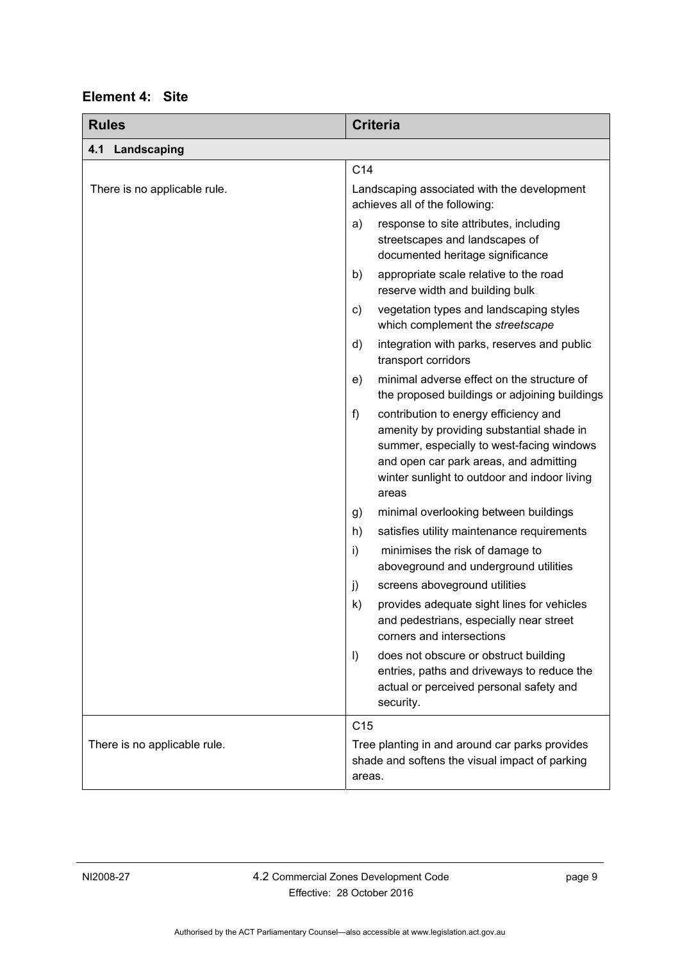| Element 4: | <b>Site</b> |
|------------|-------------|
|------------|-------------|

<span id="page-14-1"></span><span id="page-14-0"></span>

| <b>Rules</b>                 | <b>Criteria</b>                                                                                                                                                                                                                             |
|------------------------------|---------------------------------------------------------------------------------------------------------------------------------------------------------------------------------------------------------------------------------------------|
| 4.1<br>Landscaping           |                                                                                                                                                                                                                                             |
|                              | C <sub>14</sub>                                                                                                                                                                                                                             |
| There is no applicable rule. | Landscaping associated with the development<br>achieves all of the following:                                                                                                                                                               |
|                              | a)<br>response to site attributes, including<br>streetscapes and landscapes of<br>documented heritage significance                                                                                                                          |
|                              | appropriate scale relative to the road<br>b)<br>reserve width and building bulk                                                                                                                                                             |
|                              | vegetation types and landscaping styles<br>C)<br>which complement the streetscape                                                                                                                                                           |
|                              | integration with parks, reserves and public<br>d)<br>transport corridors                                                                                                                                                                    |
|                              | minimal adverse effect on the structure of<br>e)<br>the proposed buildings or adjoining buildings                                                                                                                                           |
|                              | $f$ )<br>contribution to energy efficiency and<br>amenity by providing substantial shade in<br>summer, especially to west-facing windows<br>and open car park areas, and admitting<br>winter sunlight to outdoor and indoor living<br>areas |
|                              | minimal overlooking between buildings<br>g)                                                                                                                                                                                                 |
|                              | satisfies utility maintenance requirements<br>h)                                                                                                                                                                                            |
|                              | i)<br>minimises the risk of damage to<br>aboveground and underground utilities                                                                                                                                                              |
|                              | j)<br>screens aboveground utilities                                                                                                                                                                                                         |
|                              | provides adequate sight lines for vehicles<br>$\mathsf{k}$<br>and pedestrians, especially near street<br>corners and intersections                                                                                                          |
|                              | $\vert$<br>does not obscure or obstruct building<br>entries, paths and driveways to reduce the<br>actual or perceived personal safety and<br>security.                                                                                      |
|                              | C <sub>15</sub>                                                                                                                                                                                                                             |
| There is no applicable rule. | Tree planting in and around car parks provides<br>shade and softens the visual impact of parking<br>areas.                                                                                                                                  |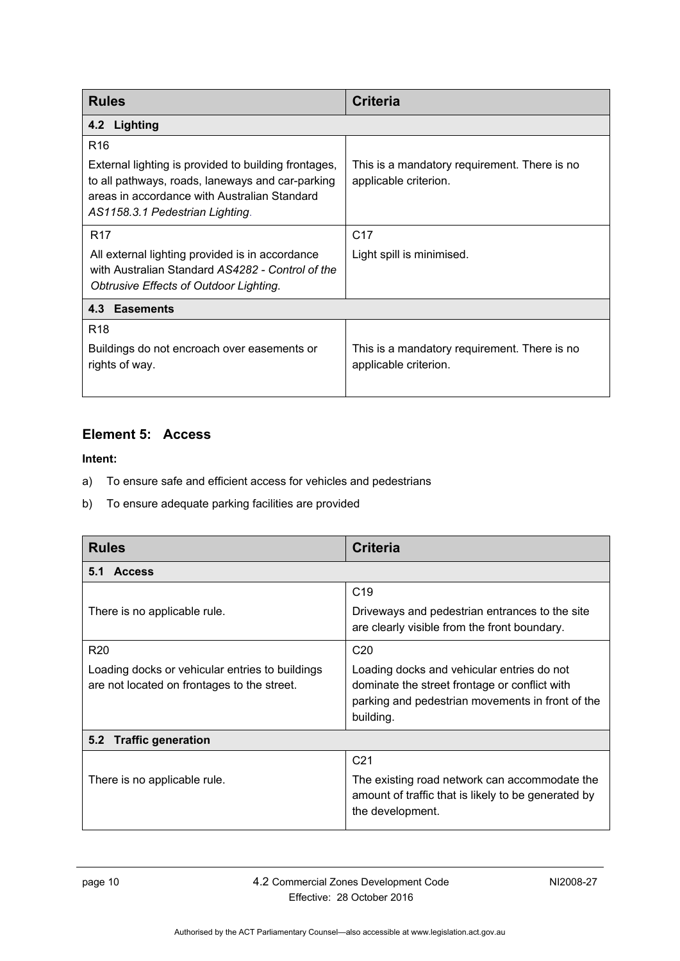<span id="page-15-0"></span>

| <b>Rules</b>                                                                                                                                                                                                   | Criteria                                                              |  |
|----------------------------------------------------------------------------------------------------------------------------------------------------------------------------------------------------------------|-----------------------------------------------------------------------|--|
| 4.2 Lighting                                                                                                                                                                                                   |                                                                       |  |
| R <sub>16</sub><br>External lighting is provided to building frontages,<br>to all pathways, roads, laneways and car-parking<br>areas in accordance with Australian Standard<br>AS1158.3.1 Pedestrian Lighting. | This is a mandatory requirement. There is no<br>applicable criterion. |  |
| <b>R17</b><br>All external lighting provided is in accordance<br>with Australian Standard AS4282 - Control of the<br>Obtrusive Effects of Outdoor Lighting.                                                    | C <sub>17</sub><br>Light spill is minimised.                          |  |
| 4.3 Easements                                                                                                                                                                                                  |                                                                       |  |
| R <sub>18</sub><br>Buildings do not encroach over easements or<br>rights of way.                                                                                                                               | This is a mandatory requirement. There is no<br>applicable criterion. |  |

### <span id="page-15-2"></span><span id="page-15-1"></span>**Element 5: Access**

- a) To ensure safe and efficient access for vehicles and pedestrians
- b) To ensure adequate parking facilities are provided

<span id="page-15-4"></span><span id="page-15-3"></span>

| <b>Rules</b>                                                                                   | <b>Criteria</b>                                                                                                                                              |  |
|------------------------------------------------------------------------------------------------|--------------------------------------------------------------------------------------------------------------------------------------------------------------|--|
| <b>Access</b><br>5.1                                                                           |                                                                                                                                                              |  |
|                                                                                                | C <sub>19</sub>                                                                                                                                              |  |
| There is no applicable rule.                                                                   | Driveways and pedestrian entrances to the site<br>are clearly visible from the front boundary.                                                               |  |
| R <sub>20</sub>                                                                                | C <sub>20</sub>                                                                                                                                              |  |
| Loading docks or vehicular entries to buildings<br>are not located on frontages to the street. | Loading docks and vehicular entries do not<br>dominate the street frontage or conflict with<br>parking and pedestrian movements in front of the<br>building. |  |
| <b>Traffic generation</b><br>5.2                                                               |                                                                                                                                                              |  |
|                                                                                                | C <sub>21</sub>                                                                                                                                              |  |
| There is no applicable rule.                                                                   | The existing road network can accommodate the<br>amount of traffic that is likely to be generated by<br>the development.                                     |  |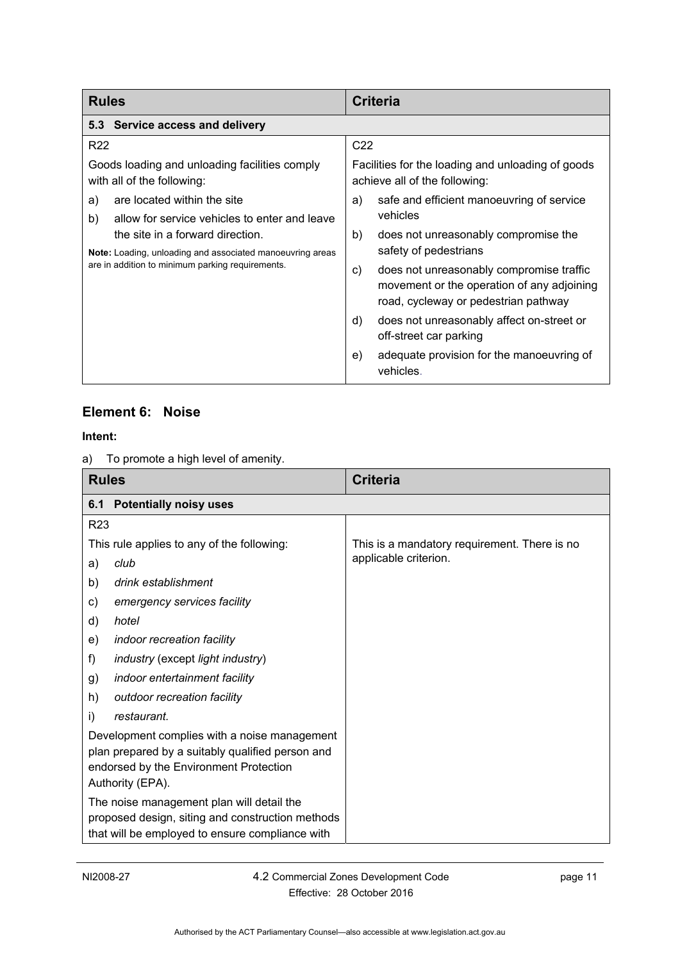<span id="page-16-0"></span>

| <b>Rules</b>                                                                                                                                      | <b>Criteria</b>                                                                                                                      |
|---------------------------------------------------------------------------------------------------------------------------------------------------|--------------------------------------------------------------------------------------------------------------------------------------|
| 5.3 Service access and delivery                                                                                                                   |                                                                                                                                      |
| R <sub>22</sub>                                                                                                                                   | C <sub>22</sub>                                                                                                                      |
| Goods loading and unloading facilities comply<br>with all of the following:                                                                       | Facilities for the loading and unloading of goods<br>achieve all of the following:                                                   |
| are located within the site<br>a)                                                                                                                 | safe and efficient manoeuvring of service<br>a)                                                                                      |
| allow for service vehicles to enter and leave<br>b)                                                                                               | vehicles                                                                                                                             |
| the site in a forward direction.<br>Note: Loading, unloading and associated manoeuvring areas<br>are in addition to minimum parking requirements. | does not unreasonably compromise the<br>b)                                                                                           |
|                                                                                                                                                   | safety of pedestrians                                                                                                                |
|                                                                                                                                                   | does not unreasonably compromise traffic<br>C)<br>movement or the operation of any adjoining<br>road, cycleway or pedestrian pathway |
|                                                                                                                                                   | does not unreasonably affect on-street or<br>d)<br>off-street car parking                                                            |
|                                                                                                                                                   | adequate provision for the manoeuvring of<br>e)<br>vehicles.                                                                         |

#### <span id="page-16-1"></span>**Element 6: Noise**

a) To promote a high level of amenity.

<span id="page-16-2"></span>

| <b>Rules</b>    |                                                                                                                                                                | <b>Criteria</b>                              |
|-----------------|----------------------------------------------------------------------------------------------------------------------------------------------------------------|----------------------------------------------|
| 6.1             | <b>Potentially noisy uses</b>                                                                                                                                  |                                              |
| R <sub>23</sub> |                                                                                                                                                                |                                              |
|                 | This rule applies to any of the following:                                                                                                                     | This is a mandatory requirement. There is no |
| a)              | club                                                                                                                                                           | applicable criterion.                        |
| b)              | drink establishment                                                                                                                                            |                                              |
| C)              | emergency services facility                                                                                                                                    |                                              |
| d)              | hotel                                                                                                                                                          |                                              |
| e)              | indoor recreation facility                                                                                                                                     |                                              |
| f)              | <i>industry</i> (except <i>light industry</i> )                                                                                                                |                                              |
| g)              | indoor entertainment facility                                                                                                                                  |                                              |
| h)              | outdoor recreation facility                                                                                                                                    |                                              |
| i)              | restaurant.                                                                                                                                                    |                                              |
|                 | Development complies with a noise management<br>plan prepared by a suitably qualified person and<br>endorsed by the Environment Protection<br>Authority (EPA). |                                              |
|                 | The noise management plan will detail the<br>proposed design, siting and construction methods<br>that will be employed to ensure compliance with               |                                              |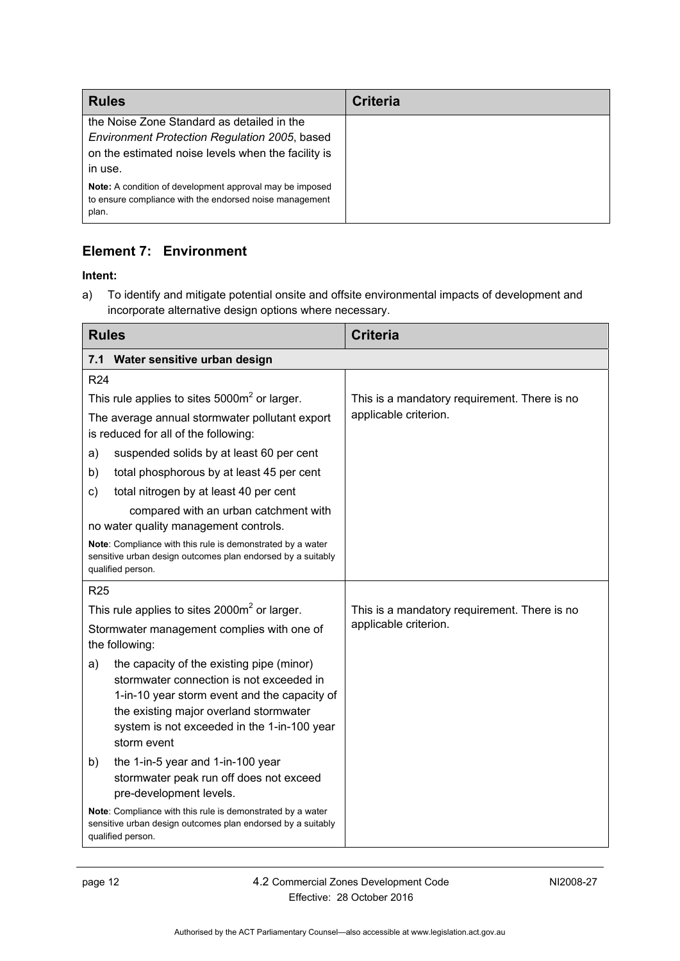| <b>Rules</b>                                                                                                                                                 | <b>Criteria</b> |
|--------------------------------------------------------------------------------------------------------------------------------------------------------------|-----------------|
| the Noise Zone Standard as detailed in the<br>Environment Protection Regulation 2005, based<br>on the estimated noise levels when the facility is<br>in use. |                 |
| <b>Note:</b> A condition of development approval may be imposed<br>to ensure compliance with the endorsed noise management<br>plan.                          |                 |

### <span id="page-17-0"></span>**Element 7: Environment**

#### **Intent:**

a) To identify and mitigate potential onsite and offsite environmental impacts of development and incorporate alternative design options where necessary.

<span id="page-17-1"></span>

| <b>Rules</b>                                                                                                                                                                                                                                        | <b>Criteria</b>                              |
|-----------------------------------------------------------------------------------------------------------------------------------------------------------------------------------------------------------------------------------------------------|----------------------------------------------|
| Water sensitive urban design<br>7.1                                                                                                                                                                                                                 |                                              |
| R <sub>24</sub>                                                                                                                                                                                                                                     |                                              |
| This rule applies to sites $5000m^2$ or larger.                                                                                                                                                                                                     | This is a mandatory requirement. There is no |
| The average annual stormwater pollutant export<br>is reduced for all of the following:                                                                                                                                                              | applicable criterion.                        |
| suspended solids by at least 60 per cent<br>a)                                                                                                                                                                                                      |                                              |
| total phosphorous by at least 45 per cent<br>b)                                                                                                                                                                                                     |                                              |
| total nitrogen by at least 40 per cent<br>c)                                                                                                                                                                                                        |                                              |
| compared with an urban catchment with<br>no water quality management controls.                                                                                                                                                                      |                                              |
| Note: Compliance with this rule is demonstrated by a water<br>sensitive urban design outcomes plan endorsed by a suitably<br>qualified person.                                                                                                      |                                              |
| <b>R25</b>                                                                                                                                                                                                                                          |                                              |
| This rule applies to sites $2000m^2$ or larger.                                                                                                                                                                                                     | This is a mandatory requirement. There is no |
| Stormwater management complies with one of<br>the following:                                                                                                                                                                                        | applicable criterion.                        |
| the capacity of the existing pipe (minor)<br>a)<br>stormwater connection is not exceeded in<br>1-in-10 year storm event and the capacity of<br>the existing major overland stormwater<br>system is not exceeded in the 1-in-100 year<br>storm event |                                              |
| the 1-in-5 year and 1-in-100 year<br>b)<br>stormwater peak run off does not exceed<br>pre-development levels.                                                                                                                                       |                                              |
| Note: Compliance with this rule is demonstrated by a water<br>sensitive urban design outcomes plan endorsed by a suitably<br>qualified person.                                                                                                      |                                              |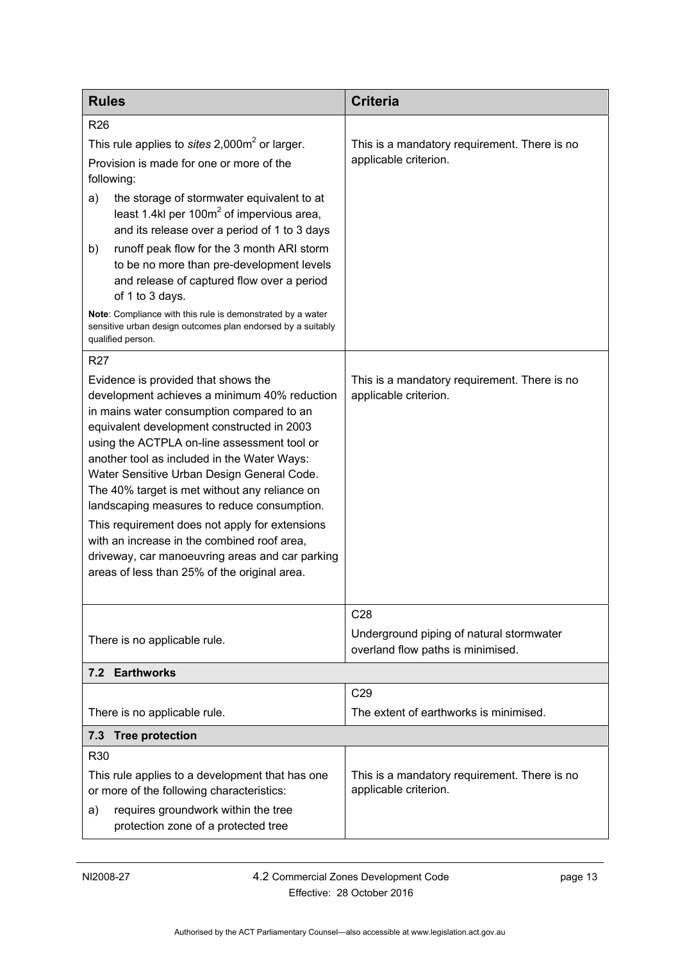<span id="page-18-1"></span><span id="page-18-0"></span>

| <b>Rules</b>                                                                                                                                                                                                                                                                                                                                                                                                                                                                                                                                                                                                                   | <b>Criteria</b>                                                               |
|--------------------------------------------------------------------------------------------------------------------------------------------------------------------------------------------------------------------------------------------------------------------------------------------------------------------------------------------------------------------------------------------------------------------------------------------------------------------------------------------------------------------------------------------------------------------------------------------------------------------------------|-------------------------------------------------------------------------------|
| R <sub>26</sub>                                                                                                                                                                                                                                                                                                                                                                                                                                                                                                                                                                                                                |                                                                               |
| This rule applies to sites $2,000m^2$ or larger.                                                                                                                                                                                                                                                                                                                                                                                                                                                                                                                                                                               | This is a mandatory requirement. There is no                                  |
| Provision is made for one or more of the<br>following:                                                                                                                                                                                                                                                                                                                                                                                                                                                                                                                                                                         | applicable criterion.                                                         |
| the storage of stormwater equivalent to at<br>a)<br>least 1.4kl per 100 $m2$ of impervious area,<br>and its release over a period of 1 to 3 days                                                                                                                                                                                                                                                                                                                                                                                                                                                                               |                                                                               |
| runoff peak flow for the 3 month ARI storm<br>b)<br>to be no more than pre-development levels<br>and release of captured flow over a period<br>of 1 to 3 days.                                                                                                                                                                                                                                                                                                                                                                                                                                                                 |                                                                               |
| Note: Compliance with this rule is demonstrated by a water<br>sensitive urban design outcomes plan endorsed by a suitably<br>qualified person.                                                                                                                                                                                                                                                                                                                                                                                                                                                                                 |                                                                               |
| R <sub>27</sub>                                                                                                                                                                                                                                                                                                                                                                                                                                                                                                                                                                                                                |                                                                               |
| Evidence is provided that shows the<br>development achieves a minimum 40% reduction<br>in mains water consumption compared to an<br>equivalent development constructed in 2003<br>using the ACTPLA on-line assessment tool or<br>another tool as included in the Water Ways:<br>Water Sensitive Urban Design General Code.<br>The 40% target is met without any reliance on<br>landscaping measures to reduce consumption.<br>This requirement does not apply for extensions<br>with an increase in the combined roof area,<br>driveway, car manoeuvring areas and car parking<br>areas of less than 25% of the original area. | This is a mandatory requirement. There is no<br>applicable criterion.<br>C28  |
| There is no applicable rule.                                                                                                                                                                                                                                                                                                                                                                                                                                                                                                                                                                                                   | Underground piping of natural stormwater<br>overland flow paths is minimised. |
| 7.2 Earthworks                                                                                                                                                                                                                                                                                                                                                                                                                                                                                                                                                                                                                 |                                                                               |
|                                                                                                                                                                                                                                                                                                                                                                                                                                                                                                                                                                                                                                | C29                                                                           |
| There is no applicable rule.                                                                                                                                                                                                                                                                                                                                                                                                                                                                                                                                                                                                   | The extent of earthworks is minimised.                                        |
| <b>Tree protection</b><br>7.3                                                                                                                                                                                                                                                                                                                                                                                                                                                                                                                                                                                                  |                                                                               |
| R30<br>This rule applies to a development that has one<br>or more of the following characteristics:<br>requires groundwork within the tree<br>a)<br>protection zone of a protected tree                                                                                                                                                                                                                                                                                                                                                                                                                                        | This is a mandatory requirement. There is no<br>applicable criterion.         |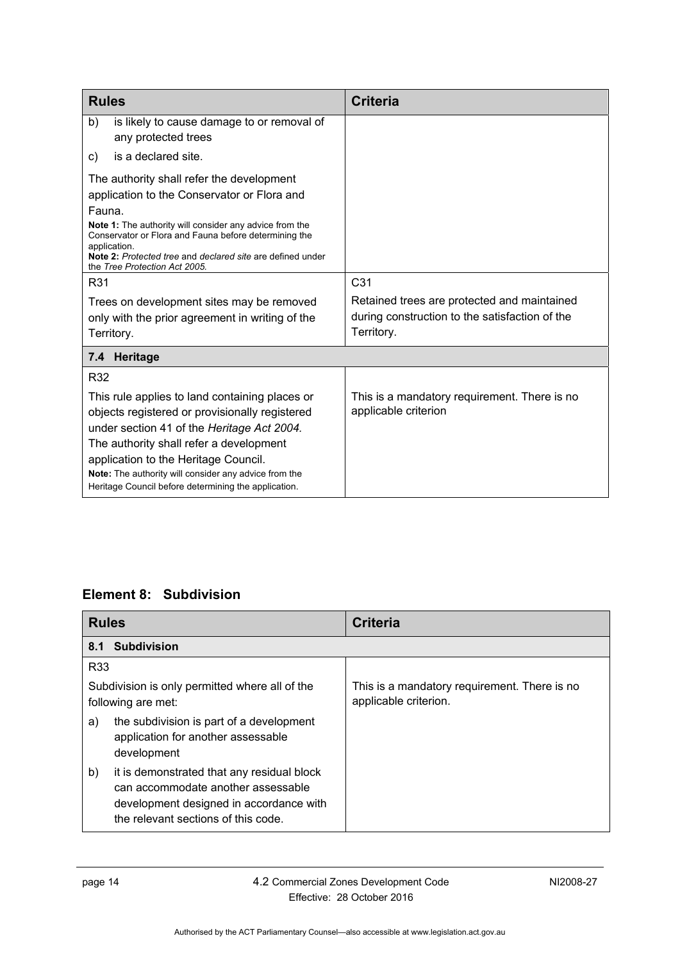| <b>Rules</b>                                                                                                                                                                                                                                                                                                                                              | Criteria                                                                                                    |
|-----------------------------------------------------------------------------------------------------------------------------------------------------------------------------------------------------------------------------------------------------------------------------------------------------------------------------------------------------------|-------------------------------------------------------------------------------------------------------------|
| is likely to cause damage to or removal of<br>b)<br>any protected trees                                                                                                                                                                                                                                                                                   |                                                                                                             |
| is a declared site.<br>C)                                                                                                                                                                                                                                                                                                                                 |                                                                                                             |
| The authority shall refer the development<br>application to the Conservator or Flora and<br>Fauna.<br>Note 1: The authority will consider any advice from the<br>Conservator or Flora and Fauna before determining the<br>application.<br>Note 2: Protected tree and declared site are defined under<br>the Tree Protection Act 2005.                     |                                                                                                             |
| R31                                                                                                                                                                                                                                                                                                                                                       | C <sub>31</sub>                                                                                             |
| Trees on development sites may be removed<br>only with the prior agreement in writing of the<br>Territory.                                                                                                                                                                                                                                                | Retained trees are protected and maintained<br>during construction to the satisfaction of the<br>Territory. |
| Heritage<br>7.4                                                                                                                                                                                                                                                                                                                                           |                                                                                                             |
| R32<br>This rule applies to land containing places or<br>objects registered or provisionally registered<br>under section 41 of the Heritage Act 2004.<br>The authority shall refer a development<br>application to the Heritage Council.<br>Note: The authority will consider any advice from the<br>Heritage Council before determining the application. | This is a mandatory requirement. There is no<br>applicable criterion                                        |

### <span id="page-19-1"></span><span id="page-19-0"></span>**Element 8: Subdivision**

<span id="page-19-2"></span>

| <b>Rules</b> |                                                                                                                                                                    | <b>Criteria</b>                                                       |
|--------------|--------------------------------------------------------------------------------------------------------------------------------------------------------------------|-----------------------------------------------------------------------|
| 8.1          | <b>Subdivision</b>                                                                                                                                                 |                                                                       |
| R33          |                                                                                                                                                                    |                                                                       |
|              | Subdivision is only permitted where all of the<br>following are met:                                                                                               | This is a mandatory requirement. There is no<br>applicable criterion. |
| a)           | the subdivision is part of a development<br>application for another assessable<br>development                                                                      |                                                                       |
| b)           | it is demonstrated that any residual block<br>can accommodate another assessable<br>development designed in accordance with<br>the relevant sections of this code. |                                                                       |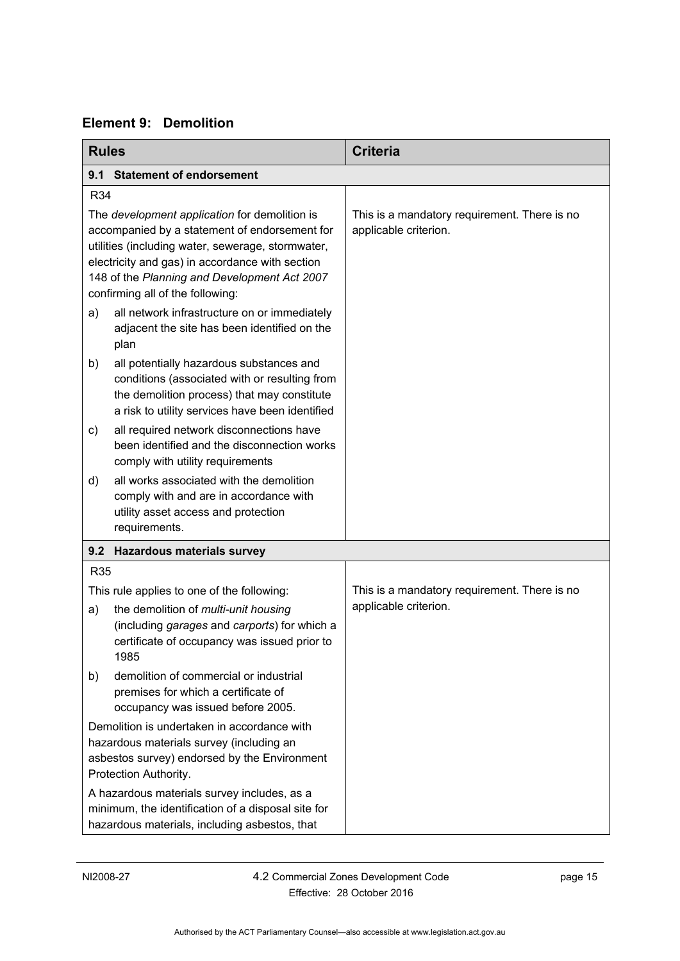<span id="page-20-0"></span>

<span id="page-20-2"></span><span id="page-20-1"></span>

| <b>Rules</b>                                                                                                                                                                                                                                                                               |                                                                                                                                                                                             | <b>Criteria</b>                                                       |
|--------------------------------------------------------------------------------------------------------------------------------------------------------------------------------------------------------------------------------------------------------------------------------------------|---------------------------------------------------------------------------------------------------------------------------------------------------------------------------------------------|-----------------------------------------------------------------------|
| 9.1                                                                                                                                                                                                                                                                                        | <b>Statement of endorsement</b>                                                                                                                                                             |                                                                       |
| R34                                                                                                                                                                                                                                                                                        |                                                                                                                                                                                             |                                                                       |
| The development application for demolition is<br>accompanied by a statement of endorsement for<br>utilities (including water, sewerage, stormwater,<br>electricity and gas) in accordance with section<br>148 of the Planning and Development Act 2007<br>confirming all of the following: |                                                                                                                                                                                             | This is a mandatory requirement. There is no<br>applicable criterion. |
| a)                                                                                                                                                                                                                                                                                         | all network infrastructure on or immediately<br>adjacent the site has been identified on the<br>plan                                                                                        |                                                                       |
| b)                                                                                                                                                                                                                                                                                         | all potentially hazardous substances and<br>conditions (associated with or resulting from<br>the demolition process) that may constitute<br>a risk to utility services have been identified |                                                                       |
| c)                                                                                                                                                                                                                                                                                         | all required network disconnections have<br>been identified and the disconnection works<br>comply with utility requirements                                                                 |                                                                       |
| d)                                                                                                                                                                                                                                                                                         | all works associated with the demolition<br>comply with and are in accordance with<br>utility asset access and protection<br>requirements.                                                  |                                                                       |
|                                                                                                                                                                                                                                                                                            | 9.2 Hazardous materials survey                                                                                                                                                              |                                                                       |
| <b>R35</b>                                                                                                                                                                                                                                                                                 |                                                                                                                                                                                             |                                                                       |
|                                                                                                                                                                                                                                                                                            | This rule applies to one of the following:                                                                                                                                                  | This is a mandatory requirement. There is no                          |
| a)                                                                                                                                                                                                                                                                                         | the demolition of multi-unit housing<br>(including garages and carports) for which a<br>certificate of occupancy was issued prior to<br>1985                                                | applicable criterion.                                                 |
| b)                                                                                                                                                                                                                                                                                         | demolition of commercial or industrial<br>premises for which a certificate of<br>occupancy was issued before 2005.                                                                          |                                                                       |
| Demolition is undertaken in accordance with<br>hazardous materials survey (including an<br>asbestos survey) endorsed by the Environment<br>Protection Authority.                                                                                                                           |                                                                                                                                                                                             |                                                                       |
| A hazardous materials survey includes, as a<br>minimum, the identification of a disposal site for<br>hazardous materials, including asbestos, that                                                                                                                                         |                                                                                                                                                                                             |                                                                       |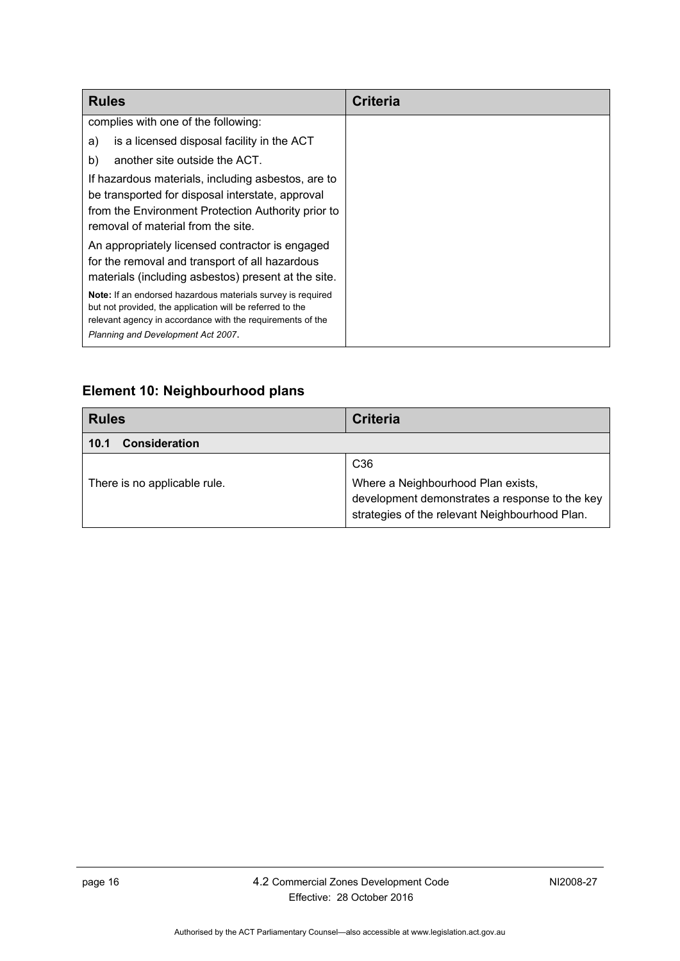| <b>Rules</b>                                                                                                                                                                                                                 | Criteria |
|------------------------------------------------------------------------------------------------------------------------------------------------------------------------------------------------------------------------------|----------|
| complies with one of the following:                                                                                                                                                                                          |          |
| is a licensed disposal facility in the ACT<br>a)                                                                                                                                                                             |          |
| another site outside the ACT.<br>b)                                                                                                                                                                                          |          |
| If hazardous materials, including asbestos, are to<br>be transported for disposal interstate, approval<br>from the Environment Protection Authority prior to<br>removal of material from the site.                           |          |
| An appropriately licensed contractor is engaged<br>for the removal and transport of all hazardous<br>materials (including asbestos) present at the site.                                                                     |          |
| Note: If an endorsed hazardous materials survey is required<br>but not provided, the application will be referred to the<br>relevant agency in accordance with the requirements of the<br>Planning and Development Act 2007. |          |

## <span id="page-21-0"></span>**Element 10: Neighbourhood plans**

<span id="page-21-1"></span>

| <b>Rules</b>                 | <b>Criteria</b>                                                                                                                                           |
|------------------------------|-----------------------------------------------------------------------------------------------------------------------------------------------------------|
| <b>Consideration</b><br>10.1 |                                                                                                                                                           |
| There is no applicable rule. | C <sub>36</sub><br>Where a Neighbourhood Plan exists,<br>development demonstrates a response to the key<br>strategies of the relevant Neighbourhood Plan. |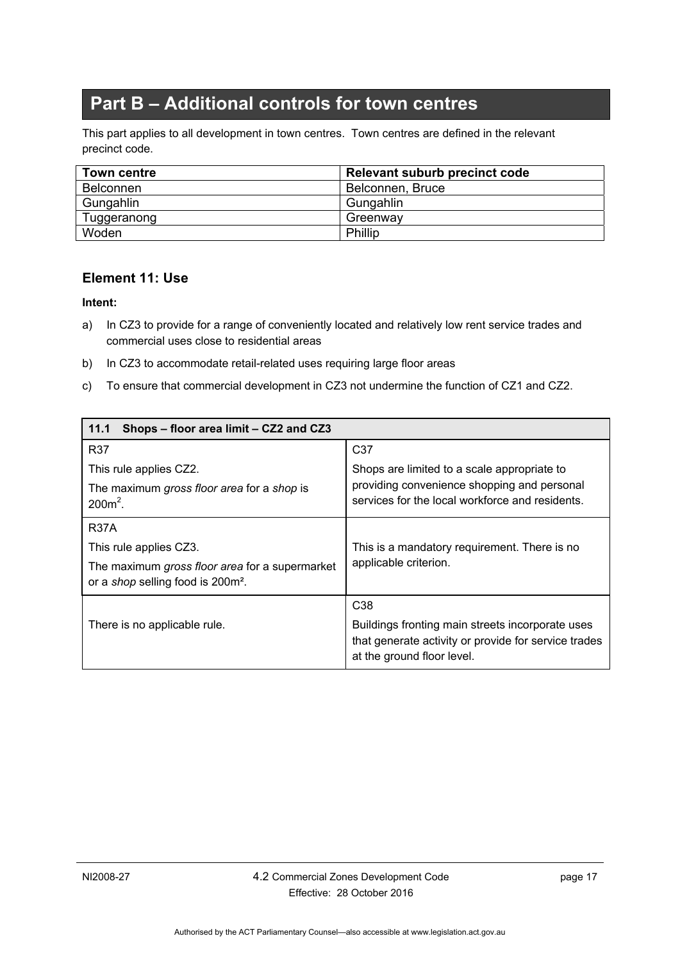# **Part B – Additional controls for town centres**

<span id="page-22-0"></span>This part applies to all development in town centres. Town centres are defined in the relevant precinct code.

| <b>Town centre</b> | Relevant suburb precinct code |
|--------------------|-------------------------------|
| Belconnen          | Belconnen, Bruce              |
| Gungahlin          | Gungahlin                     |
| Tuggeranong        | Greenway                      |
| Woden              | Phillip                       |

#### <span id="page-22-1"></span>**Element 11: Use**

- a) In CZ3 to provide for a range of conveniently located and relatively low rent service trades and commercial uses close to residential areas
- b) In CZ3 to accommodate retail-related uses requiring large floor areas
- c) To ensure that commercial development in CZ3 not undermine the function of CZ1 and CZ2.

<span id="page-22-2"></span>

| 11.1<br>Shops - floor area limit - CZ2 and CZ3                                                  |                                                                                                                                        |
|-------------------------------------------------------------------------------------------------|----------------------------------------------------------------------------------------------------------------------------------------|
| <b>R37</b>                                                                                      | C <sub>37</sub>                                                                                                                        |
| This rule applies CZ2.                                                                          | Shops are limited to a scale appropriate to                                                                                            |
| The maximum gross floor area for a shop is<br>$200m^2$ .                                        | providing convenience shopping and personal<br>services for the local workforce and residents.                                         |
| <b>R37A</b>                                                                                     |                                                                                                                                        |
| This rule applies CZ3.                                                                          | This is a mandatory requirement. There is no                                                                                           |
| The maximum gross floor area for a supermarket<br>or a shop selling food is 200m <sup>2</sup> . | applicable criterion.                                                                                                                  |
|                                                                                                 | C <sub>38</sub>                                                                                                                        |
| There is no applicable rule.                                                                    | Buildings fronting main streets incorporate uses<br>that generate activity or provide for service trades<br>at the ground floor level. |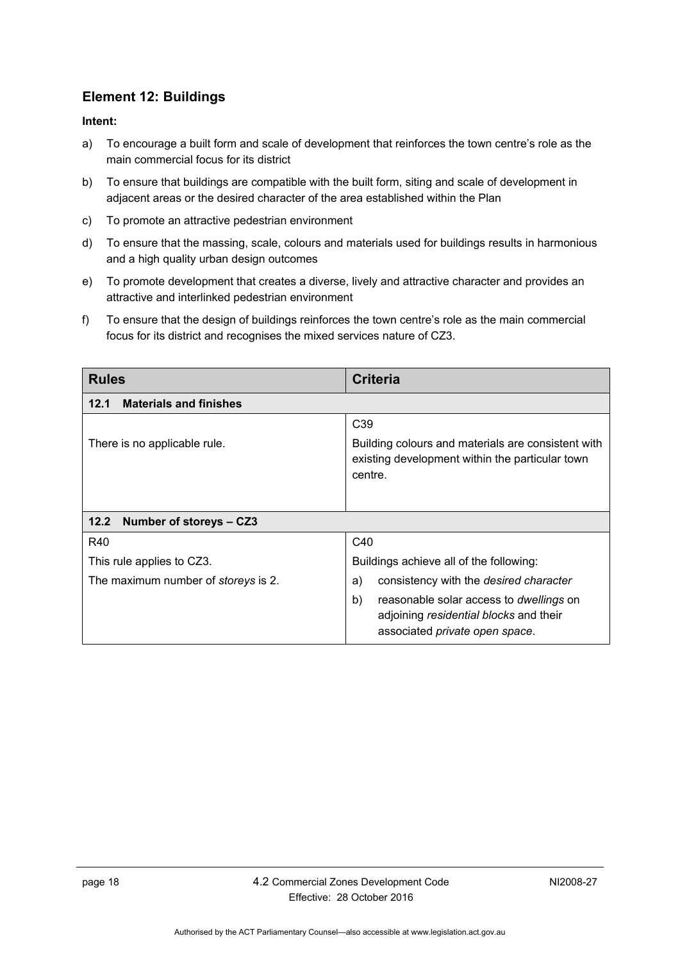### <span id="page-23-0"></span>**Element 12: Buildings**

- a) To encourage a built form and scale of development that reinforces the town centre's role as the main commercial focus for its district
- b) To ensure that buildings are compatible with the built form, siting and scale of development in adjacent areas or the desired character of the area established within the Plan
- c) To promote an attractive pedestrian environment
- d) To ensure that the massing, scale, colours and materials used for buildings results in harmonious and a high quality urban design outcomes
- e) To promote development that creates a diverse, lively and attractive character and provides an attractive and interlinked pedestrian environment
- f) To ensure that the design of buildings reinforces the town centre's role as the main commercial focus for its district and recognises the mixed services nature of CZ3.

<span id="page-23-2"></span><span id="page-23-1"></span>

| <b>Rules</b>                               | <b>Criteria</b>                                                                                                                  |
|--------------------------------------------|----------------------------------------------------------------------------------------------------------------------------------|
| <b>Materials and finishes</b><br>12.1      |                                                                                                                                  |
|                                            | C <sub>39</sub>                                                                                                                  |
| There is no applicable rule.               | Building colours and materials are consistent with<br>existing development within the particular town<br>centre.                 |
| Number of storeys - CZ3<br>12.2            |                                                                                                                                  |
| R40                                        | C40                                                                                                                              |
| This rule applies to CZ3.                  | Buildings achieve all of the following:                                                                                          |
| The maximum number of <i>storeys</i> is 2. | consistency with the desired character<br>a)                                                                                     |
|                                            | b)<br>reasonable solar access to <i>dwellings</i> on<br>adjoining residential blocks and their<br>associated private open space. |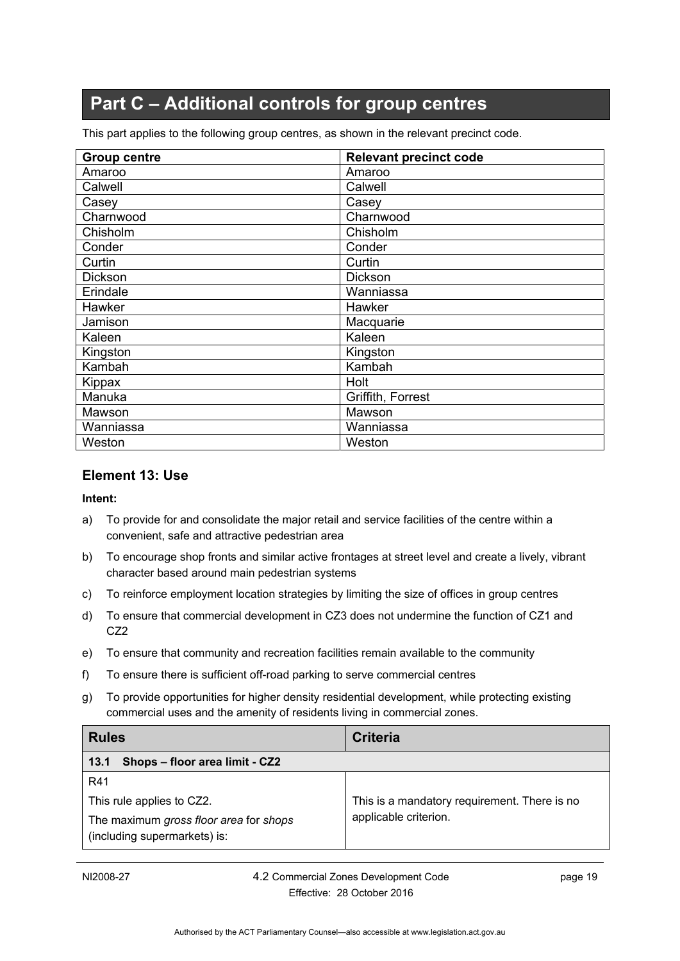# **Part C – Additional controls for group centres**

<span id="page-24-0"></span>This part applies to the following group centres, as shown in the relevant precinct code.

| <b>Group centre</b> | <b>Relevant precinct code</b> |
|---------------------|-------------------------------|
| Amaroo              | Amaroo                        |
| Calwell             | Calwell                       |
| Casey               | Casey                         |
| Charnwood           | Charnwood                     |
| Chisholm            | Chisholm                      |
| Conder              | Conder                        |
| Curtin              | Curtin                        |
| Dickson             | Dickson                       |
| Erindale            | Wanniassa                     |
| Hawker              | Hawker                        |
| Jamison             | Macquarie                     |
| Kaleen              | Kaleen                        |
| Kingston            | Kingston                      |
| Kambah              | Kambah                        |
| Kippax              | Holt                          |
| Manuka              | Griffith, Forrest             |
| Mawson              | Mawson                        |
| Wanniassa           | Wanniassa                     |
| Weston              | Weston                        |

#### <span id="page-24-1"></span>**Element 13: Use**

- a) To provide for and consolidate the major retail and service facilities of the centre within a convenient, safe and attractive pedestrian area
- b) To encourage shop fronts and similar active frontages at street level and create a lively, vibrant character based around main pedestrian systems
- c) To reinforce employment location strategies by limiting the size of offices in group centres
- d) To ensure that commercial development in CZ3 does not undermine the function of CZ1 and CZ2
- e) To ensure that community and recreation facilities remain available to the community
- f) To ensure there is sufficient off-road parking to serve commercial centres
- g) To provide opportunities for higher density residential development, while protecting existing commercial uses and the amenity of residents living in commercial zones.

<span id="page-24-2"></span>

| <b>Rules</b>                                                           | Criteria                                     |
|------------------------------------------------------------------------|----------------------------------------------|
| Shops - floor area limit - CZ2<br>13.1                                 |                                              |
| R41                                                                    |                                              |
| This rule applies to CZ2.                                              | This is a mandatory requirement. There is no |
| The maximum gross floor area for shops<br>(including supermarkets) is: | applicable criterion.                        |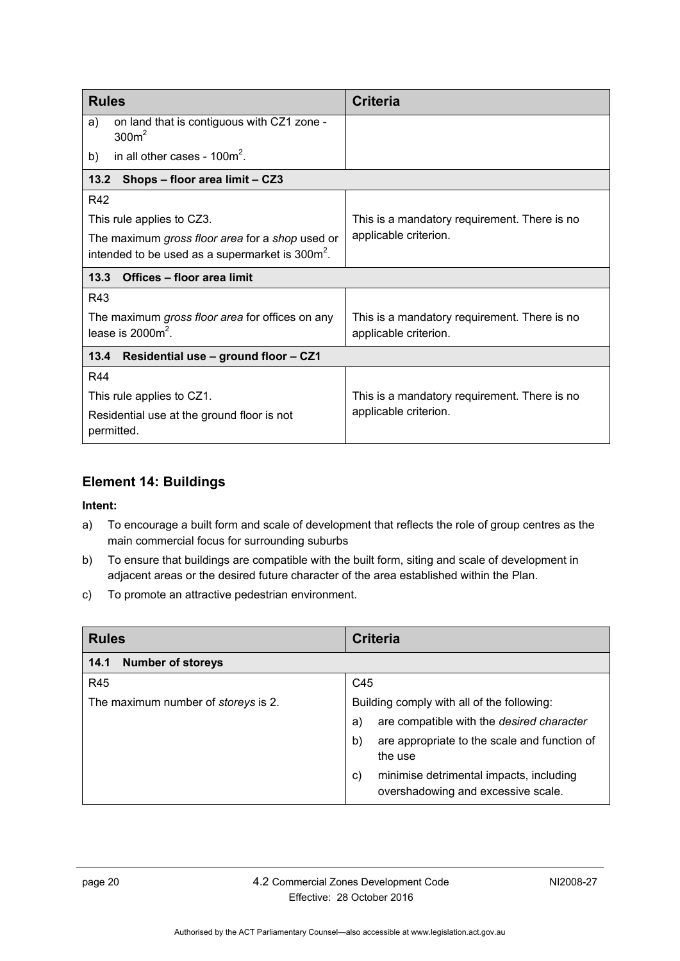<span id="page-25-1"></span><span id="page-25-0"></span>

| <b>Rules</b>                                                                                                   | <b>Criteria</b>                              |  |
|----------------------------------------------------------------------------------------------------------------|----------------------------------------------|--|
| on land that is contiguous with CZ1 zone -<br>a)<br>300m <sup>2</sup>                                          |                                              |  |
| in all other cases - $100m^2$ .<br>b)                                                                          |                                              |  |
| 13.2<br>Shops – floor area limit – CZ3                                                                         |                                              |  |
| R42                                                                                                            |                                              |  |
| This rule applies to CZ3.                                                                                      | This is a mandatory requirement. There is no |  |
| The maximum gross floor area for a shop used or<br>intended to be used as a supermarket is 300m <sup>2</sup> . | applicable criterion.                        |  |
|                                                                                                                |                                              |  |
| Offices - floor area limit<br>13.3                                                                             |                                              |  |
| R43                                                                                                            |                                              |  |
| The maximum gross floor area for offices on any                                                                | This is a mandatory requirement. There is no |  |
| lease is $20002$ .                                                                                             | applicable criterion.                        |  |
| Residential use - ground floor - CZ1<br>13.4                                                                   |                                              |  |
| R44                                                                                                            |                                              |  |
| This rule applies to CZ1.                                                                                      | This is a mandatory requirement. There is no |  |
| Residential use at the ground floor is not<br>permitted.                                                       | applicable criterion.                        |  |

### <span id="page-25-3"></span><span id="page-25-2"></span>**Element 14: Buildings**

- a) To encourage a built form and scale of development that reflects the role of group centres as the main commercial focus for surrounding suburbs
- b) To ensure that buildings are compatible with the built form, siting and scale of development in adjacent areas or the desired future character of the area established within the Plan.
- c) To promote an attractive pedestrian environment.

<span id="page-25-4"></span>

| <b>Rules</b>                               | <b>Criteria</b>                                                                     |
|--------------------------------------------|-------------------------------------------------------------------------------------|
| <b>Number of storeys</b><br>14.1           |                                                                                     |
| R45                                        | C45                                                                                 |
| The maximum number of <i>storeys</i> is 2. | Building comply with all of the following:                                          |
|                                            | are compatible with the desired character<br>a)                                     |
|                                            | are appropriate to the scale and function of<br>b)<br>the use                       |
|                                            | minimise detrimental impacts, including<br>C)<br>overshadowing and excessive scale. |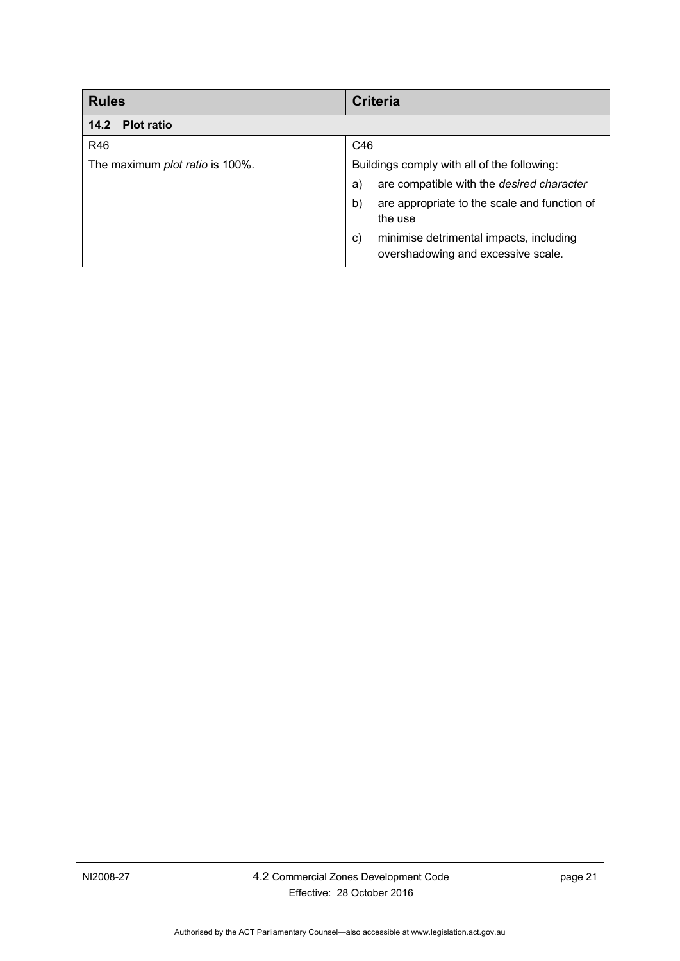<span id="page-26-0"></span>

| <b>Rules</b>                    | <b>Criteria</b>                                                                     |
|---------------------------------|-------------------------------------------------------------------------------------|
| <b>Plot ratio</b><br>14.2       |                                                                                     |
| R46                             | C46                                                                                 |
| The maximum plot ratio is 100%. | Buildings comply with all of the following:                                         |
|                                 | are compatible with the desired character<br>a)                                     |
|                                 | are appropriate to the scale and function of<br>b)                                  |
|                                 | the use                                                                             |
|                                 | minimise detrimental impacts, including<br>C)<br>overshadowing and excessive scale. |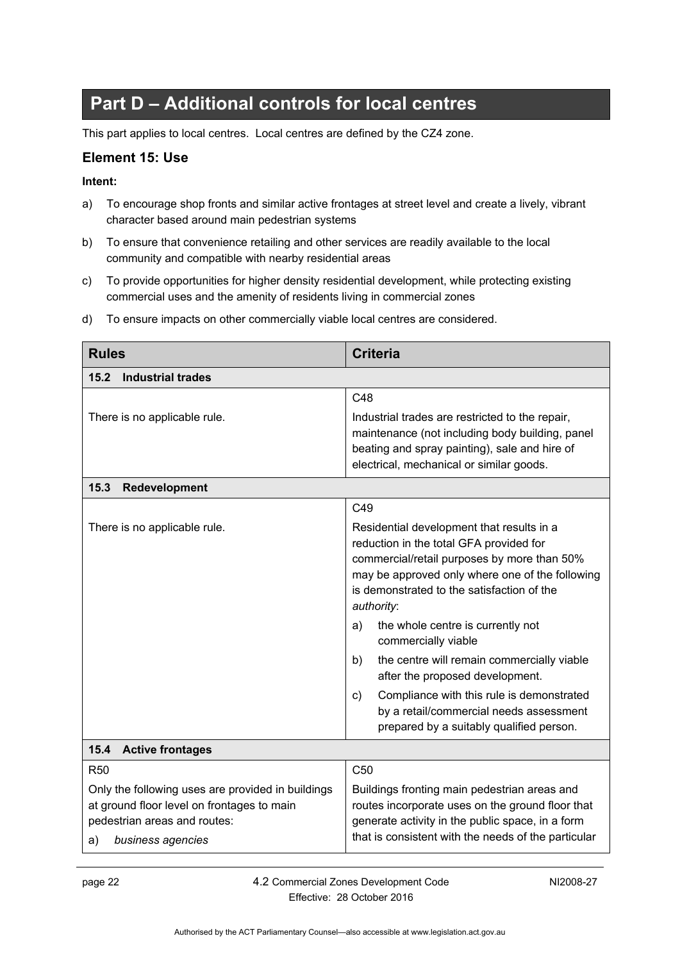# **Part D – Additional controls for local centres**

<span id="page-27-0"></span>This part applies to local centres. Local centres are defined by the CZ4 zone.

#### <span id="page-27-1"></span>**Element 15: Use**

#### **Intent:**

- a) To encourage shop fronts and similar active frontages at street level and create a lively, vibrant character based around main pedestrian systems
- b) To ensure that convenience retailing and other services are readily available to the local community and compatible with nearby residential areas
- c) To provide opportunities for higher density residential development, while protecting existing commercial uses and the amenity of residents living in commercial zones

<span id="page-27-3"></span><span id="page-27-2"></span>

| <b>Rules</b>                                                                                                                                               | <b>Criteria</b>                                                                                                                                                                                                                                                                                                                                                                                                                                                                                                                                       |
|------------------------------------------------------------------------------------------------------------------------------------------------------------|-------------------------------------------------------------------------------------------------------------------------------------------------------------------------------------------------------------------------------------------------------------------------------------------------------------------------------------------------------------------------------------------------------------------------------------------------------------------------------------------------------------------------------------------------------|
| <b>Industrial trades</b><br>15.2                                                                                                                           |                                                                                                                                                                                                                                                                                                                                                                                                                                                                                                                                                       |
|                                                                                                                                                            | C48                                                                                                                                                                                                                                                                                                                                                                                                                                                                                                                                                   |
| There is no applicable rule.                                                                                                                               | Industrial trades are restricted to the repair,<br>maintenance (not including body building, panel<br>beating and spray painting), sale and hire of<br>electrical, mechanical or similar goods.                                                                                                                                                                                                                                                                                                                                                       |
| 15.3<br>Redevelopment                                                                                                                                      |                                                                                                                                                                                                                                                                                                                                                                                                                                                                                                                                                       |
|                                                                                                                                                            | C49                                                                                                                                                                                                                                                                                                                                                                                                                                                                                                                                                   |
| There is no applicable rule.                                                                                                                               | Residential development that results in a<br>reduction in the total GFA provided for<br>commercial/retail purposes by more than 50%<br>may be approved only where one of the following<br>is demonstrated to the satisfaction of the<br>authority:<br>the whole centre is currently not<br>a)<br>commercially viable<br>the centre will remain commercially viable<br>b)<br>after the proposed development.<br>Compliance with this rule is demonstrated<br>C)<br>by a retail/commercial needs assessment<br>prepared by a suitably qualified person. |
| 15.4<br><b>Active frontages</b>                                                                                                                            |                                                                                                                                                                                                                                                                                                                                                                                                                                                                                                                                                       |
| <b>R50</b>                                                                                                                                                 | C <sub>50</sub>                                                                                                                                                                                                                                                                                                                                                                                                                                                                                                                                       |
| Only the following uses are provided in buildings<br>at ground floor level on frontages to main<br>pedestrian areas and routes:<br>business agencies<br>a) | Buildings fronting main pedestrian areas and<br>routes incorporate uses on the ground floor that<br>generate activity in the public space, in a form<br>that is consistent with the needs of the particular                                                                                                                                                                                                                                                                                                                                           |

d) To ensure impacts on other commercially viable local centres are considered.

<span id="page-27-4"></span>page 22 4.2 Commercial Zones Development Code Effective: 28 October 2016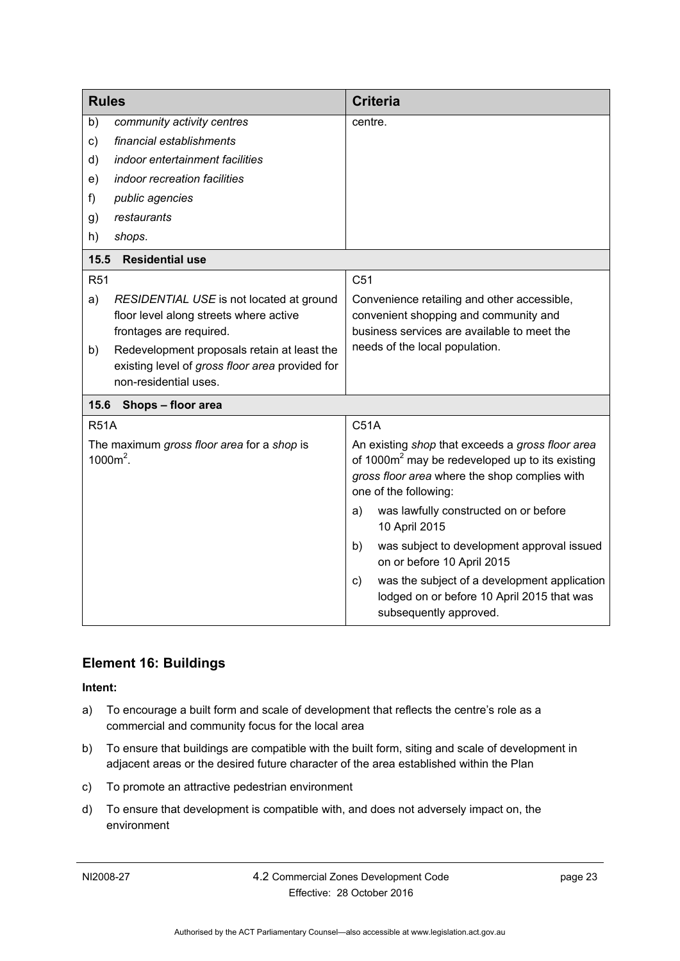<span id="page-28-0"></span>

| <b>Rules</b>                                              |                                                                                                                         | <b>Criteria</b>                                                                                                                                                                           |
|-----------------------------------------------------------|-------------------------------------------------------------------------------------------------------------------------|-------------------------------------------------------------------------------------------------------------------------------------------------------------------------------------------|
| b)                                                        | community activity centres                                                                                              | centre.                                                                                                                                                                                   |
| c)                                                        | financial establishments                                                                                                |                                                                                                                                                                                           |
| d)                                                        | indoor entertainment facilities                                                                                         |                                                                                                                                                                                           |
| e)                                                        | indoor recreation facilities                                                                                            |                                                                                                                                                                                           |
| f)                                                        | public agencies                                                                                                         |                                                                                                                                                                                           |
| g)                                                        | restaurants                                                                                                             |                                                                                                                                                                                           |
| h)                                                        | shops.                                                                                                                  |                                                                                                                                                                                           |
| <b>Residential use</b><br>15.5                            |                                                                                                                         |                                                                                                                                                                                           |
| <b>R51</b>                                                |                                                                                                                         | C <sub>51</sub>                                                                                                                                                                           |
| a)                                                        | RESIDENTIAL USE is not located at ground<br>floor level along streets where active<br>frontages are required.           | Convenience retailing and other accessible,<br>convenient shopping and community and<br>business services are available to meet the                                                       |
| b)                                                        | Redevelopment proposals retain at least the<br>existing level of gross floor area provided for<br>non-residential uses. | needs of the local population.                                                                                                                                                            |
| 15.6                                                      | Shops - floor area                                                                                                      |                                                                                                                                                                                           |
| <b>R51A</b>                                               |                                                                                                                         | C51A                                                                                                                                                                                      |
| The maximum gross floor area for a shop is<br>$1000m^2$ . |                                                                                                                         | An existing shop that exceeds a gross floor area<br>of 1000m <sup>2</sup> may be redeveloped up to its existing<br>gross floor area where the shop complies with<br>one of the following: |
|                                                           |                                                                                                                         | was lawfully constructed on or before<br>a)<br>10 April 2015                                                                                                                              |
|                                                           |                                                                                                                         | was subject to development approval issued<br>b)<br>on or before 10 April 2015                                                                                                            |
|                                                           |                                                                                                                         | was the subject of a development application<br>C)<br>lodged on or before 10 April 2015 that was<br>subsequently approved.                                                                |

### <span id="page-28-2"></span><span id="page-28-1"></span>**Element 16: Buildings**

- a) To encourage a built form and scale of development that reflects the centre's role as a commercial and community focus for the local area
- b) To ensure that buildings are compatible with the built form, siting and scale of development in adjacent areas or the desired future character of the area established within the Plan
- c) To promote an attractive pedestrian environment
- d) To ensure that development is compatible with, and does not adversely impact on, the environment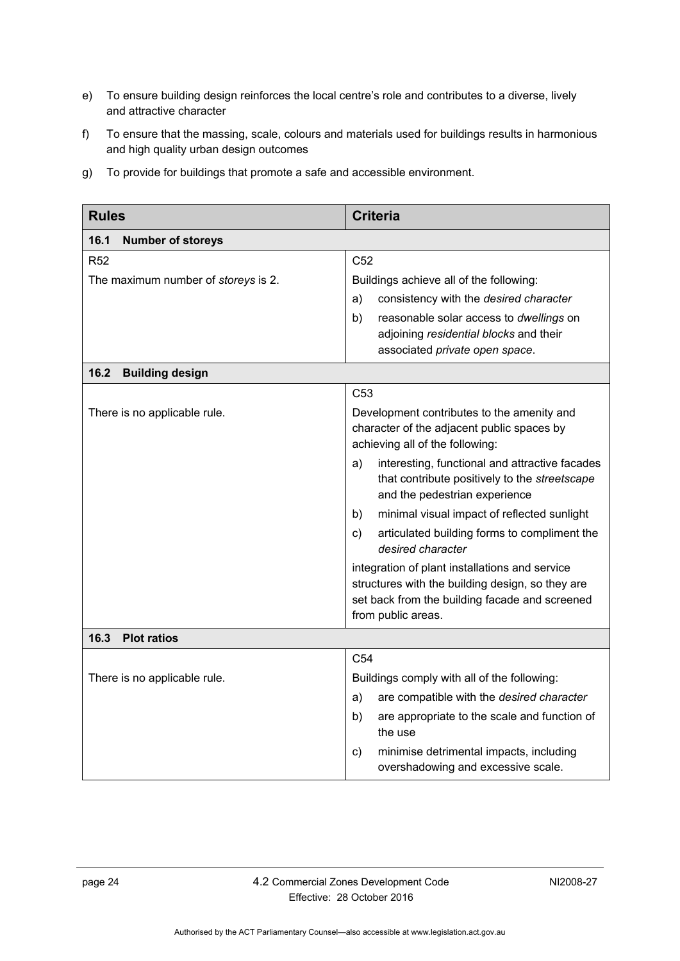- e) To ensure building design reinforces the local centre's role and contributes to a diverse, lively and attractive character
- f) To ensure that the massing, scale, colours and materials used for buildings results in harmonious and high quality urban design outcomes
- g) To provide for buildings that promote a safe and accessible environment.

<span id="page-29-2"></span><span id="page-29-1"></span><span id="page-29-0"></span>

| <b>Rules</b>                        | <b>Criteria</b>                                                                                                                                                                                                                      |
|-------------------------------------|--------------------------------------------------------------------------------------------------------------------------------------------------------------------------------------------------------------------------------------|
| 16.1<br><b>Number of storeys</b>    |                                                                                                                                                                                                                                      |
| R <sub>52</sub>                     | C <sub>52</sub>                                                                                                                                                                                                                      |
| The maximum number of storeys is 2. | Buildings achieve all of the following:                                                                                                                                                                                              |
|                                     | consistency with the desired character<br>a)                                                                                                                                                                                         |
|                                     | b)<br>reasonable solar access to dwellings on<br>adjoining residential blocks and their<br>associated private open space.                                                                                                            |
| 16.2<br><b>Building design</b>      |                                                                                                                                                                                                                                      |
|                                     | C <sub>53</sub>                                                                                                                                                                                                                      |
| There is no applicable rule.        | Development contributes to the amenity and<br>character of the adjacent public spaces by<br>achieving all of the following:<br>interesting, functional and attractive facades<br>a)<br>that contribute positively to the streetscape |
|                                     | and the pedestrian experience                                                                                                                                                                                                        |
|                                     | minimal visual impact of reflected sunlight<br>b)                                                                                                                                                                                    |
|                                     | articulated building forms to compliment the<br>C)<br>desired character                                                                                                                                                              |
|                                     | integration of plant installations and service<br>structures with the building design, so they are<br>set back from the building facade and screened<br>from public areas.                                                           |
| 16.3<br><b>Plot ratios</b>          |                                                                                                                                                                                                                                      |
|                                     | C <sub>54</sub>                                                                                                                                                                                                                      |
| There is no applicable rule.        | Buildings comply with all of the following:                                                                                                                                                                                          |
|                                     | are compatible with the desired character<br>a)                                                                                                                                                                                      |
|                                     | b)<br>are appropriate to the scale and function of<br>the use                                                                                                                                                                        |
|                                     | minimise detrimental impacts, including<br>$\mathsf{c})$<br>overshadowing and excessive scale.                                                                                                                                       |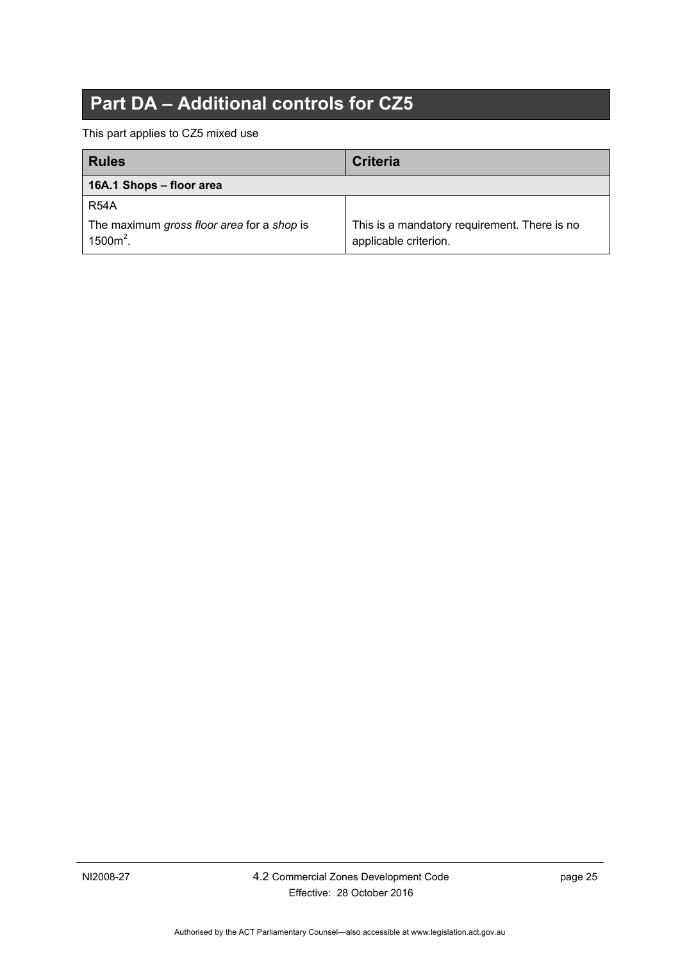# **Part DA – Additional controls for CZ5**

<span id="page-30-0"></span>This part applies to CZ5 mixed use

<span id="page-30-1"></span>

| <b>Rules</b>                                              | <b>Criteria</b>                                                       |
|-----------------------------------------------------------|-----------------------------------------------------------------------|
| 16A.1 Shops - floor area                                  |                                                                       |
| <b>R54A</b>                                               |                                                                       |
| The maximum gross floor area for a shop is<br>$1500m^2$ . | This is a mandatory requirement. There is no<br>applicable criterion. |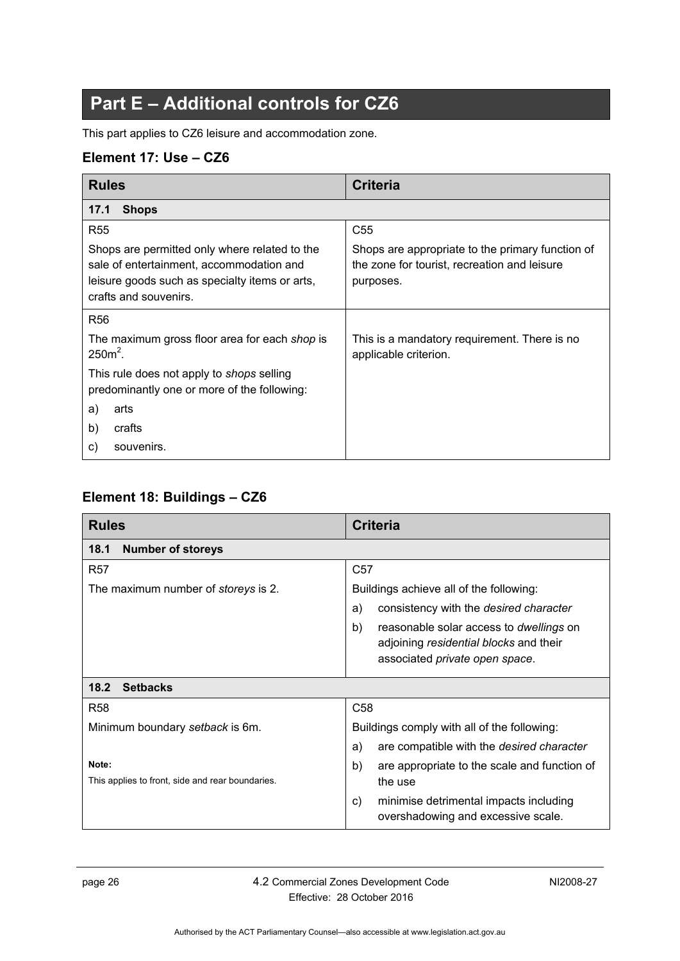# **Part E – Additional controls for CZ6**

<span id="page-31-0"></span>This part applies to CZ6 leisure and accommodation zone.

### <span id="page-31-1"></span>**Element 17: Use – CZ6**

<span id="page-31-2"></span>

| <b>Rules</b>                                                                                                                                                         | <b>Criteria</b>                                                                                               |
|----------------------------------------------------------------------------------------------------------------------------------------------------------------------|---------------------------------------------------------------------------------------------------------------|
| <b>Shops</b><br>17.1                                                                                                                                                 |                                                                                                               |
| <b>R55</b>                                                                                                                                                           | C <sub>55</sub>                                                                                               |
| Shops are permitted only where related to the<br>sale of entertainment, accommodation and<br>leisure goods such as specialty items or arts,<br>crafts and souvenirs. | Shops are appropriate to the primary function of<br>the zone for tourist, recreation and leisure<br>purposes. |
| R <sub>56</sub>                                                                                                                                                      |                                                                                                               |
| The maximum gross floor area for each shop is<br>$2502$ .                                                                                                            | This is a mandatory requirement. There is no<br>applicable criterion.                                         |
| This rule does not apply to <i>shops</i> selling<br>predominantly one or more of the following:                                                                      |                                                                                                               |
| a)<br>arts                                                                                                                                                           |                                                                                                               |
| b)<br>crafts                                                                                                                                                         |                                                                                                               |
| souvenirs.<br>C)                                                                                                                                                     |                                                                                                               |

### <span id="page-31-3"></span>**Element 18: Buildings – CZ6**

<span id="page-31-5"></span><span id="page-31-4"></span>

| <b>Rules</b>                                              | Criteria                                                                                                                         |
|-----------------------------------------------------------|----------------------------------------------------------------------------------------------------------------------------------|
| 18.1<br><b>Number of storeys</b>                          |                                                                                                                                  |
| <b>R57</b>                                                | C <sub>57</sub>                                                                                                                  |
| The maximum number of <i>storeys</i> is 2.                | Buildings achieve all of the following:                                                                                          |
|                                                           | consistency with the desired character<br>a)                                                                                     |
|                                                           | b)<br>reasonable solar access to <i>dwellings</i> on<br>adjoining residential blocks and their<br>associated private open space. |
| 18.2<br><b>Setbacks</b>                                   |                                                                                                                                  |
| <b>R58</b>                                                | C <sub>58</sub>                                                                                                                  |
| Minimum boundary setback is 6m.                           | Buildings comply with all of the following:                                                                                      |
|                                                           | are compatible with the desired character<br>a)                                                                                  |
| Note:<br>This applies to front, side and rear boundaries. | b)<br>are appropriate to the scale and function of<br>the use                                                                    |
|                                                           | minimise detrimental impacts including<br>C)<br>overshadowing and excessive scale.                                               |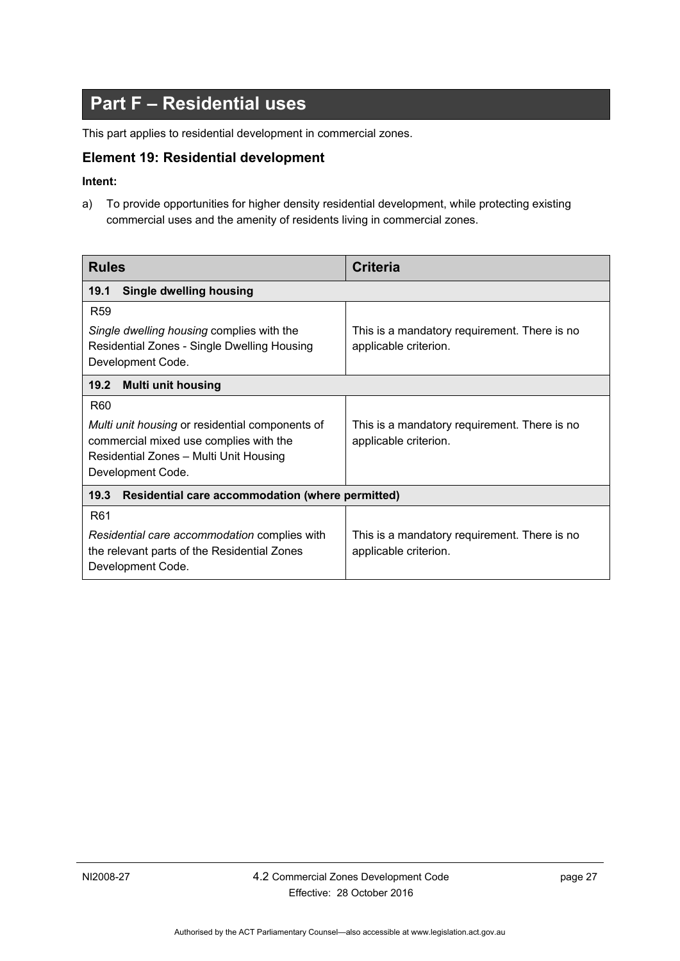# **Part F – Residential uses**

<span id="page-32-0"></span>This part applies to residential development in commercial zones.

#### <span id="page-32-1"></span>**Element 19: Residential development**

#### **Intent:**

a) To provide opportunities for higher density residential development, while protecting existing commercial uses and the amenity of residents living in commercial zones.

<span id="page-32-4"></span><span id="page-32-3"></span><span id="page-32-2"></span>

| <b>Rules</b>                                                                                                                                                                       | <b>Criteria</b>                                                       |  |
|------------------------------------------------------------------------------------------------------------------------------------------------------------------------------------|-----------------------------------------------------------------------|--|
| <b>Single dwelling housing</b><br>19.1                                                                                                                                             |                                                                       |  |
| R <sub>59</sub><br>Single dwelling housing complies with the<br>Residential Zones - Single Dwelling Housing<br>Development Code.                                                   | This is a mandatory requirement. There is no<br>applicable criterion. |  |
| <b>Multi unit housing</b><br>19.2                                                                                                                                                  |                                                                       |  |
| R <sub>60</sub><br><i>Multi unit housing</i> or residential components of<br>commercial mixed use complies with the<br>Residential Zones - Multi Unit Housing<br>Development Code. | This is a mandatory requirement. There is no<br>applicable criterion. |  |
| 19.3<br>Residential care accommodation (where permitted)                                                                                                                           |                                                                       |  |
| R <sub>61</sub><br>Residential care accommodation complies with<br>the relevant parts of the Residential Zones<br>Development Code.                                                | This is a mandatory requirement. There is no<br>applicable criterion. |  |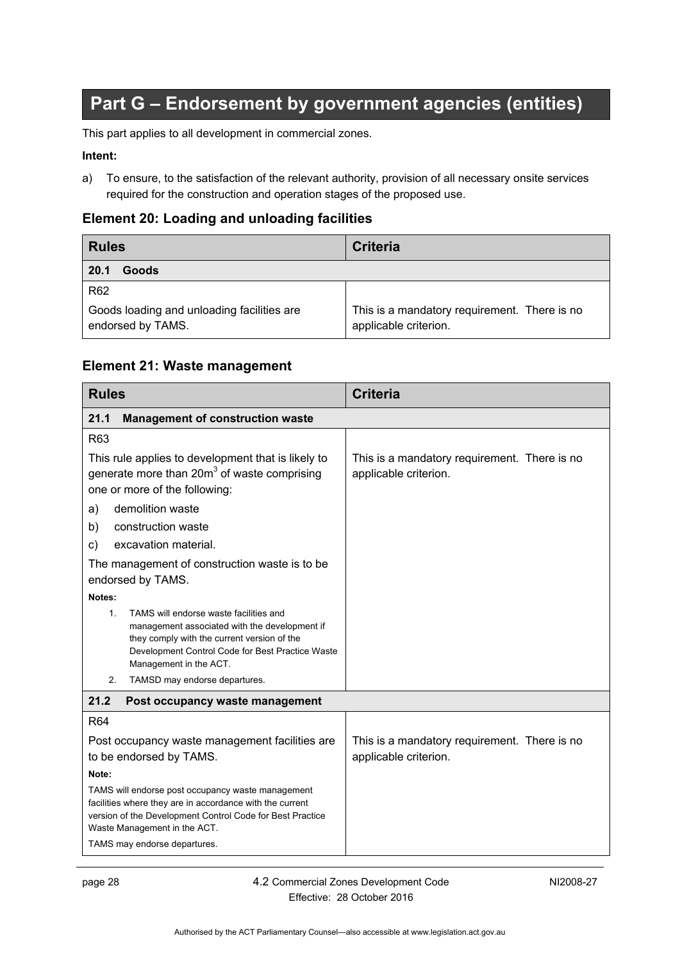# **Part G – Endorsement by government agencies (entities)**

<span id="page-33-0"></span>This part applies to all development in commercial zones.

#### **Intent:**

a) To ensure, to the satisfaction of the relevant authority, provision of all necessary onsite services required for the construction and operation stages of the proposed use.

#### <span id="page-33-1"></span>**Element 20: Loading and unloading facilities**

<span id="page-33-2"></span>

| <b>Rules</b>                                                    | <b>Criteria</b>                                                       |
|-----------------------------------------------------------------|-----------------------------------------------------------------------|
| Goods<br>20.1                                                   |                                                                       |
| R <sub>62</sub>                                                 |                                                                       |
| Goods loading and unloading facilities are<br>endorsed by TAMS. | This is a mandatory requirement. There is no<br>applicable criterion. |

#### <span id="page-33-3"></span>**Element 21: Waste management**

<span id="page-33-5"></span><span id="page-33-4"></span>

| <b>Rules</b>                                                                                                                                                                                                                           | <b>Criteria</b>                                                       |
|----------------------------------------------------------------------------------------------------------------------------------------------------------------------------------------------------------------------------------------|-----------------------------------------------------------------------|
| <b>Management of construction waste</b><br>21.1                                                                                                                                                                                        |                                                                       |
| R63                                                                                                                                                                                                                                    |                                                                       |
| This rule applies to development that is likely to<br>generate more than $20m3$ of waste comprising<br>one or more of the following:                                                                                                   | This is a mandatory requirement. There is no<br>applicable criterion. |
| demolition waste<br>a)                                                                                                                                                                                                                 |                                                                       |
| construction waste<br>b)                                                                                                                                                                                                               |                                                                       |
| excavation material.<br>C)                                                                                                                                                                                                             |                                                                       |
| The management of construction waste is to be<br>endorsed by TAMS.                                                                                                                                                                     |                                                                       |
| Notes:                                                                                                                                                                                                                                 |                                                                       |
| TAMS will endorse waste facilities and<br>$\mathbf{1}$ .<br>management associated with the development if<br>they comply with the current version of the<br>Development Control Code for Best Practice Waste<br>Management in the ACT. |                                                                       |
| TAMSD may endorse departures.<br>2.                                                                                                                                                                                                    |                                                                       |
| 21.2<br>Post occupancy waste management                                                                                                                                                                                                |                                                                       |
| <b>R64</b>                                                                                                                                                                                                                             |                                                                       |
| Post occupancy waste management facilities are<br>to be endorsed by TAMS.                                                                                                                                                              | This is a mandatory requirement. There is no<br>applicable criterion. |
| Note:                                                                                                                                                                                                                                  |                                                                       |
| TAMS will endorse post occupancy waste management<br>facilities where they are in accordance with the current<br>version of the Development Control Code for Best Practice<br>Waste Management in the ACT.                             |                                                                       |
| TAMS may endorse departures.                                                                                                                                                                                                           |                                                                       |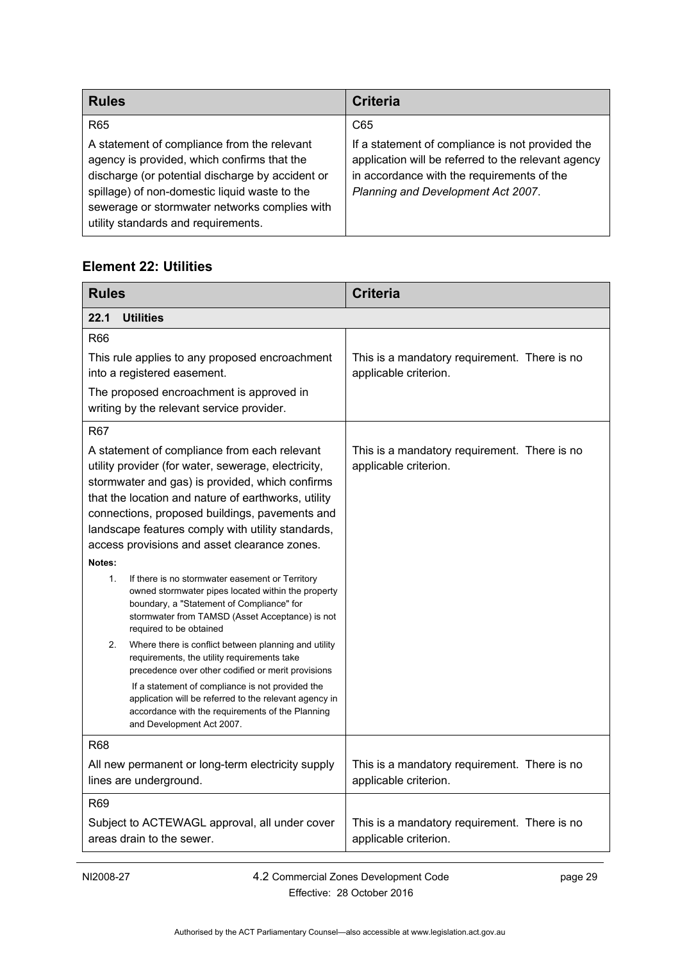| <b>Rules</b>                                                                                                                                                                                                                                                                            | Criteria                                                                                                                                                                                    |
|-----------------------------------------------------------------------------------------------------------------------------------------------------------------------------------------------------------------------------------------------------------------------------------------|---------------------------------------------------------------------------------------------------------------------------------------------------------------------------------------------|
| R <sub>65</sub>                                                                                                                                                                                                                                                                         | C65                                                                                                                                                                                         |
| A statement of compliance from the relevant<br>agency is provided, which confirms that the<br>discharge (or potential discharge by accident or<br>spillage) of non-domestic liquid waste to the<br>sewerage or stormwater networks complies with<br>utility standards and requirements. | If a statement of compliance is not provided the<br>application will be referred to the relevant agency<br>in accordance with the requirements of the<br>Planning and Development Act 2007. |

### <span id="page-34-0"></span>**Element 22: Utilities**

<span id="page-34-1"></span>

| <b>Rules</b>                                                                                                                                                                                                                                                                                                                                                                                                                            | <b>Criteria</b>                                                       |
|-----------------------------------------------------------------------------------------------------------------------------------------------------------------------------------------------------------------------------------------------------------------------------------------------------------------------------------------------------------------------------------------------------------------------------------------|-----------------------------------------------------------------------|
| 22.1<br><b>Utilities</b>                                                                                                                                                                                                                                                                                                                                                                                                                |                                                                       |
| R66                                                                                                                                                                                                                                                                                                                                                                                                                                     |                                                                       |
| This rule applies to any proposed encroachment<br>into a registered easement.                                                                                                                                                                                                                                                                                                                                                           | This is a mandatory requirement. There is no<br>applicable criterion. |
| The proposed encroachment is approved in<br>writing by the relevant service provider.                                                                                                                                                                                                                                                                                                                                                   |                                                                       |
| <b>R67</b>                                                                                                                                                                                                                                                                                                                                                                                                                              |                                                                       |
| A statement of compliance from each relevant<br>utility provider (for water, sewerage, electricity,<br>stormwater and gas) is provided, which confirms<br>that the location and nature of earthworks, utility<br>connections, proposed buildings, pavements and<br>landscape features comply with utility standards,<br>access provisions and asset clearance zones.<br>Notes:<br>1.<br>If there is no stormwater easement or Territory | This is a mandatory requirement. There is no<br>applicable criterion. |
| owned stormwater pipes located within the property<br>boundary, a "Statement of Compliance" for<br>stormwater from TAMSD (Asset Acceptance) is not<br>required to be obtained                                                                                                                                                                                                                                                           |                                                                       |
| 2.<br>Where there is conflict between planning and utility<br>requirements, the utility requirements take<br>precedence over other codified or merit provisions                                                                                                                                                                                                                                                                         |                                                                       |
| If a statement of compliance is not provided the<br>application will be referred to the relevant agency in<br>accordance with the requirements of the Planning<br>and Development Act 2007.                                                                                                                                                                                                                                             |                                                                       |
| R <sub>68</sub>                                                                                                                                                                                                                                                                                                                                                                                                                         |                                                                       |
| All new permanent or long-term electricity supply<br>lines are underground.                                                                                                                                                                                                                                                                                                                                                             | This is a mandatory requirement. There is no<br>applicable criterion. |
| R <sub>69</sub>                                                                                                                                                                                                                                                                                                                                                                                                                         |                                                                       |
| Subject to ACTEWAGL approval, all under cover<br>areas drain to the sewer.                                                                                                                                                                                                                                                                                                                                                              | This is a mandatory requirement. There is no<br>applicable criterion. |

NI2008-27 4.2 Commercial Zones Development Code Effective: 28 October 2016